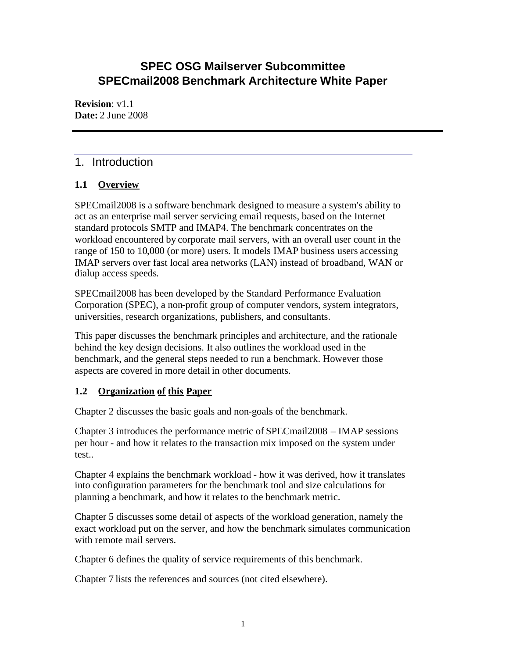## **SPEC OSG Mailserver Subcommittee SPECmail2008 Benchmark Architecture White Paper**

**Revision**: v1.1 **Date:** 2 June 2008

## 1. Introduction

## **1.1 Overview**

SPECmail2008 is a software benchmark designed to measure a system's ability to act as an enterprise mail server servicing email requests, based on the Internet standard protocols SMTP and IMAP4. The benchmark concentrates on the workload encountered by corporate mail servers, with an overall user count in the range of 150 to 10,000 (or more) users. It models IMAP business users accessing IMAP servers over fast local area networks (LAN) instead of broadband, WAN or dialup access speeds.

SPECmail2008 has been developed by the Standard Performance Evaluation Corporation (SPEC), a non-profit group of computer vendors, system integrators, universities, research organizations, publishers, and consultants.

This paper discusses the benchmark principles and architecture, and the rationale behind the key design decisions. It also outlines the workload used in the benchmark, and the general steps needed to run a benchmark. However those aspects are covered in more detail in other documents.

## **1.2 Organization of this Paper**

Chapter 2 discusses the basic goals and non-goals of the benchmark.

Chapter 3 introduces the performance metric of SPECmail2008 – IMAP sessions per hour - and how it relates to the transaction mix imposed on the system under test..

Chapter 4 explains the benchmark workload - how it was derived, how it translates into configuration parameters for the benchmark tool and size calculations for planning a benchmark, and how it relates to the benchmark metric.

Chapter 5 discusses some detail of aspects of the workload generation, namely the exact workload put on the server, and how the benchmark simulates communication with remote mail servers.

Chapter 6 defines the quality of service requirements of this benchmark.

Chapter 7 lists the references and sources (not cited elsewhere).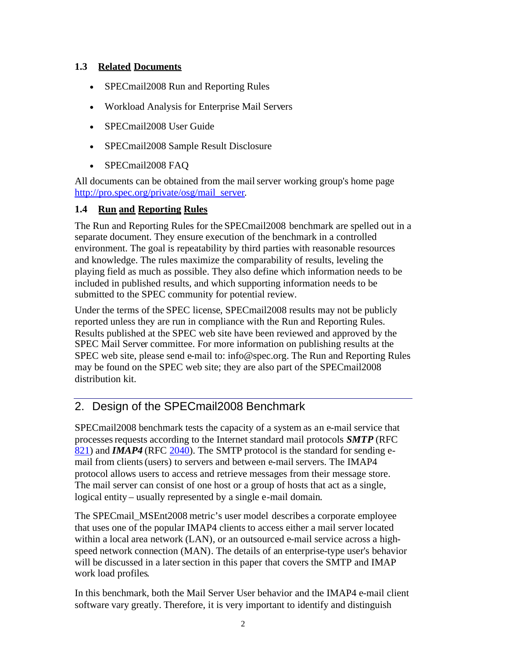## **1.3 Related Documents**

- SPECmail2008 Run and Reporting Rules
- Workload Analysis for Enterprise Mail Servers
- SPECmail2008 User Guide
- SPECmail2008 Sample Result Disclosure
- SPECmail2008 FAQ

All documents can be obtained from the mail server working group's home page http://pro.spec.org/private/osg/mail\_server.

## **1.4 Run and Reporting Rules**

The Run and Reporting Rules for the SPECmail2008 benchmark are spelled out in a separate document. They ensure execution of the benchmark in a controlled environment. The goal is repeatability by third parties with reasonable resources and knowledge. The rules maximize the comparability of results, leveling the playing field as much as possible. They also define which information needs to be included in published results, and which supporting information needs to be submitted to the SPEC community for potential review.

Under the terms of the SPEC license, SPECmail2008 results may not be publicly reported unless they are run in compliance with the Run and Reporting Rules. Results published at the SPEC web site have been reviewed and approved by the SPEC Mail Server committee. For more information on publishing results at the SPEC web site, please send e-mail to: info@spec.org. The Run and Reporting Rules may be found on the SPEC web site; they are also part of the SPECmail2008 distribution kit.

## 2. Design of the SPECmail2008 Benchmark

SPECmail2008 benchmark tests the capacity of a system as an e-mail service that processesrequests according to the Internet standard mail protocols *SMTP* (RFC 821) and *IMAP4* (RFC 2040). The SMTP protocol is the standard for sending email from clients (users) to servers and between e-mail servers. The IMAP4 protocol allows users to access and retrieve messages from their message store. The mail server can consist of one host or a group of hosts that act as a single, logical entity – usually represented by a single e-mail domain.

The SPECmail\_MSEnt2008 metric's user model describes a corporate employee that uses one of the popular IMAP4 clients to access either a mail server located within a local area network (LAN), or an outsourced e-mail service across a highspeed network connection (MAN). The details of an enterprise-type user's behavior will be discussed in a later section in this paper that covers the SMTP and IMAP work load profiles.

In this benchmark, both the Mail Server User behavior and the IMAP4 e-mail client software vary greatly. Therefore, it is very important to identify and distinguish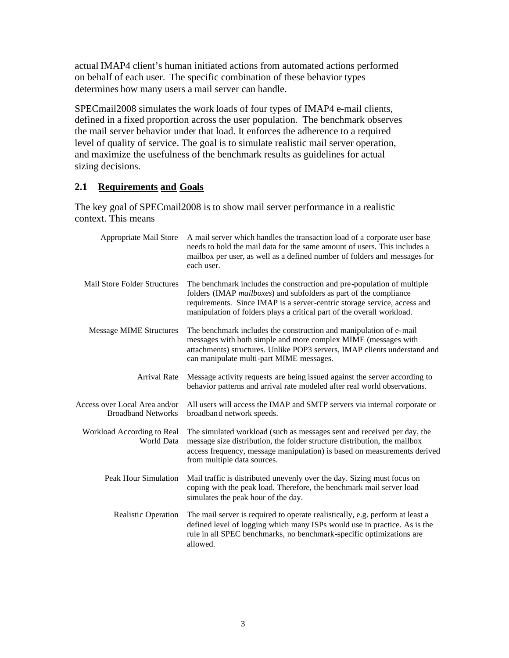actual IMAP4 client's human initiated actions from automated actions performed on behalf of each user. The specific combination of these behavior types determines how many users a mail server can handle.

SPECmail2008 simulates the work loads of four types of IMAP4 e-mail clients, defined in a fixed proportion across the user population. The benchmark observes the mail server behavior under that load. It enforces the adherence to a required level of quality of service. The goal is to simulate realistic mail server operation, and maximize the usefulness of the benchmark results as guidelines for actual sizing decisions.

## **2.1 Requirements and Goals**

The key goal of SPECmail2008 is to show mail server performance in a realistic context. This means

| Appropriate Mail Store                                     | A mail server which handles the transaction load of a corporate user base<br>needs to hold the mail data for the same amount of users. This includes a<br>mailbox per user, as well as a defined number of folders and messages for<br>each user.                                                 |
|------------------------------------------------------------|---------------------------------------------------------------------------------------------------------------------------------------------------------------------------------------------------------------------------------------------------------------------------------------------------|
| <b>Mail Store Folder Structures</b>                        | The benchmark includes the construction and pre-population of multiple<br>folders (IMAP mailboxes) and subfolders as part of the compliance<br>requirements. Since IMAP is a server-centric storage service, access and<br>manipulation of folders plays a critical part of the overall workload. |
| <b>Message MIME Structures</b>                             | The benchmark includes the construction and manipulation of e-mail<br>messages with both simple and more complex MIME (messages with<br>attachments) structures. Unlike POP3 servers, IMAP clients understand and<br>can manipulate multi-part MIME messages.                                     |
| <b>Arrival Rate</b>                                        | Message activity requests are being issued against the server according to<br>behavior patterns and arrival rate modeled after real world observations.                                                                                                                                           |
| Access over Local Area and/or<br><b>Broadband Networks</b> | All users will access the IMAP and SMTP servers via internal corporate or<br>broadband network speeds.                                                                                                                                                                                            |
| Workload According to Real<br><b>World Data</b>            | The simulated workload (such as messages sent and received per day, the<br>message size distribution, the folder structure distribution, the mailbox<br>access frequency, message manipulation) is based on measurements derived<br>from multiple data sources.                                   |
| Peak Hour Simulation                                       | Mail traffic is distributed unevenly over the day. Sizing must focus on<br>coping with the peak load. Therefore, the benchmark mail server load<br>simulates the peak hour of the day.                                                                                                            |
| <b>Realistic Operation</b>                                 | The mail server is required to operate realistically, e.g. perform at least a<br>defined level of logging which many ISPs would use in practice. As is the<br>rule in all SPEC benchmarks, no benchmark-specific optimizations are<br>allowed.                                                    |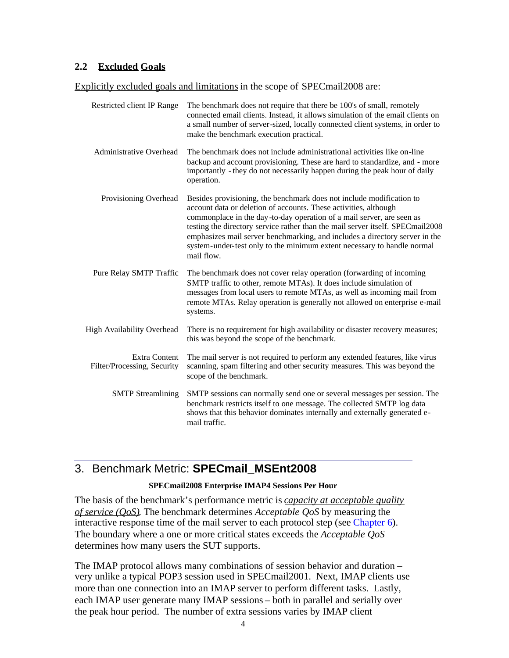## **2.2 Excluded Goals**

Explicitly excluded goals and limitations in the scope of SPECmail2008 are:

| <b>Restricted client IP Range</b>            | The benchmark does not require that there be 100's of small, remotely<br>connected email clients. Instead, it allows simulation of the email clients on<br>a small number of server-sized, locally connected client systems, in order to<br>make the benchmark execution practical.                                                                                                                                                                                         |
|----------------------------------------------|-----------------------------------------------------------------------------------------------------------------------------------------------------------------------------------------------------------------------------------------------------------------------------------------------------------------------------------------------------------------------------------------------------------------------------------------------------------------------------|
| Administrative Overhead                      | The benchmark does not include administrational activities like on-line<br>backup and account provisioning. These are hard to standardize, and - more<br>importantly - they do not necessarily happen during the peak hour of daily<br>operation.                                                                                                                                                                                                                           |
| Provisioning Overhead                        | Besides provisioning, the benchmark does not include modification to<br>account data or deletion of accounts. These activities, although<br>commonplace in the day-to-day operation of a mail server, are seen as<br>testing the directory service rather than the mail server itself. SPECmail2008<br>emphasizes mail server benchmarking, and includes a directory server in the<br>system-under-test only to the minimum extent necessary to handle normal<br>mail flow. |
| Pure Relay SMTP Traffic                      | The benchmark does not cover relay operation (forwarding of incoming<br>SMTP traffic to other, remote MTAs). It does include simulation of<br>messages from local users to remote MTAs, as well as incoming mail from<br>remote MTAs. Relay operation is generally not allowed on enterprise e-mail<br>systems.                                                                                                                                                             |
| <b>High Availability Overhead</b>            | There is no requirement for high availability or disaster recovery measures;<br>this was beyond the scope of the benchmark.                                                                                                                                                                                                                                                                                                                                                 |
| Extra Content<br>Filter/Processing, Security | The mail server is not required to perform any extended features, like virus<br>scanning, spam filtering and other security measures. This was beyond the<br>scope of the benchmark.                                                                                                                                                                                                                                                                                        |
| <b>SMTP</b> Streamlining                     | SMTP sessions can normally send one or several messages per session. The<br>benchmark restricts itself to one message. The collected SMTP log data<br>shows that this behavior dominates internally and externally generated e-<br>mail traffic.                                                                                                                                                                                                                            |

## 3. Benchmark Metric: **SPECmail\_MSEnt2008**

#### **SPECmail2008 Enterprise IMAP4 Sessions Per Hour**

The basis of the benchmark's performance metric is *capacity at acceptable quality of service (QoS)*. The benchmark determines *Acceptable QoS* by measuring the interactive response time of the mail server to each protocol step (see Chapter 6). The boundary where a one or more critical states exceeds the *Acceptable QoS* determines how many users the SUT supports.

The IMAP protocol allows many combinations of session behavior and duration – very unlike a typical POP3 session used in SPECmail2001. Next, IMAP clients use more than one connection into an IMAP server to perform different tasks. Lastly, each IMAP user generate many IMAP sessions – both in parallel and serially over the peak hour period. The number of extra sessions varies by IMAP client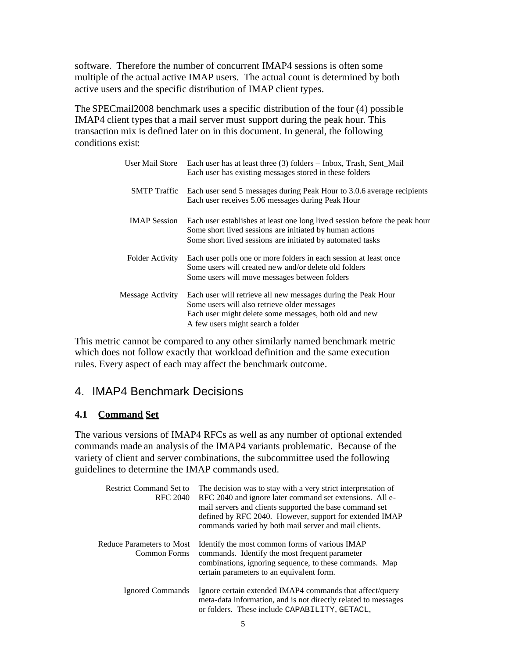software. Therefore the number of concurrent IMAP4 sessions is often some multiple of the actual active IMAP users. The actual count is determined by both active users and the specific distribution of IMAP client types.

The SPECmail2008 benchmark uses a specific distribution of the four (4) possible IMAP4 client types that a mail server must support during the peak hour. This transaction mix is defined later on in this document. In general, the following conditions exist:

|                        | User Mail Store Each user has at least three (3) folders – Inbox, Trash, Sent_Mail<br>Each user has existing messages stored in these folders                                                                |
|------------------------|--------------------------------------------------------------------------------------------------------------------------------------------------------------------------------------------------------------|
| SMTP Traffic           | Each user send 5 messages during Peak Hour to 3.0.6 average recipients<br>Each user receives 5.06 messages during Peak Hour                                                                                  |
| <b>IMAP</b> Session    | Each user establishes at least one long lived session before the peak hour<br>Some short lived sessions are initiated by human actions<br>Some short lived sessions are initiated by automated tasks         |
| <b>Folder Activity</b> | Each user polls one or more folders in each session at least once<br>Some users will created new and/or delete old folders<br>Some users will move messages between folders                                  |
| Message Activity       | Each user will retrieve all new messages during the Peak Hour<br>Some users will also retrieve older messages<br>Each user might delete some messages, both old and new<br>A few users might search a folder |

This metric cannot be compared to any other similarly named benchmark metric which does not follow exactly that workload definition and the same execution rules. Every aspect of each may affect the benchmark outcome.

## 4. IMAP4 Benchmark Decisions

#### **4.1 Command Set**

The various versions of IMAP4 RFCs as well as any number of optional extended commands made an analysis of the IMAP4 variants problematic. Because of the variety of client and server combinations, the subcommittee used the following guidelines to determine the IMAP commands used.

| <b>Restrict Command Set to</b><br><b>RFC 2040</b> | The decision was to stay with a very strict interpretation of<br>RFC 2040 and ignore later command set extensions. All e-<br>mail servers and clients supported the base command set<br>defined by RFC 2040. However, support for extended IMAP<br>commands varied by both mail server and mail clients. |
|---------------------------------------------------|----------------------------------------------------------------------------------------------------------------------------------------------------------------------------------------------------------------------------------------------------------------------------------------------------------|
| <b>Reduce Parameters to Most</b><br>Common Forms  | Identify the most common forms of various IMAP<br>commands. Identify the most frequent parameter<br>combinations, ignoring sequence, to these commands. Map<br>certain parameters to an equivalent form.                                                                                                 |
| Ignored Commands                                  | Ignore certain extended IMAP4 commands that affect/query<br>meta-data information, and is not directly related to messages<br>or folders. These include CAPABILITY, GETACL,                                                                                                                              |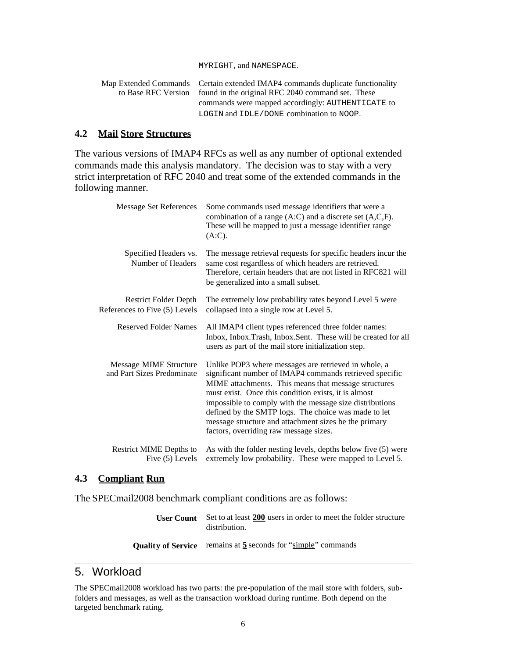#### MYRIGHT, and NAMESPACE.

| Map Extended Commands Certain extended IMAP4 commands duplicate functionality |
|-------------------------------------------------------------------------------|
| to Base RFC Version found in the original RFC 2040 command set. These         |
| commands were mapped accordingly: AUTHENTICATE to                             |
| LOGIN and IDLE/DONE combination to NOOP.                                      |

#### **4.2 Mail Store Structures**

The various versions of IMAP4 RFCs as well as any number of optional extended commands made this analysis mandatory. The decision was to stay with a very strict interpretation of RFC 2040 and treat some of the extended commands in the following manner.

| Message Set References                                        | Some commands used message identifiers that were a<br>combination of a range $(A:C)$ and a discrete set $(A,C,F)$ .<br>These will be mapped to just a message identifier range<br>$(A:C)$ .                                                                                                                                                                                                                                                            |
|---------------------------------------------------------------|--------------------------------------------------------------------------------------------------------------------------------------------------------------------------------------------------------------------------------------------------------------------------------------------------------------------------------------------------------------------------------------------------------------------------------------------------------|
| Specified Headers vs.<br>Number of Headers                    | The message retrieval requests for specific headers incur the<br>same cost regardless of which headers are retrieved.<br>Therefore, certain headers that are not listed in RFC821 will<br>be generalized into a small subset.                                                                                                                                                                                                                          |
| <b>Restrict Folder Depth</b><br>References to Five (5) Levels | The extremely low probability rates beyond Level 5 were<br>collapsed into a single row at Level 5.                                                                                                                                                                                                                                                                                                                                                     |
| <b>Reserved Folder Names</b>                                  | All IMAP4 client types referenced three folder names:<br>Inbox, Inbox.Trash, Inbox.Sent. These will be created for all<br>users as part of the mail store initialization step.                                                                                                                                                                                                                                                                         |
| Message MIME Structure<br>and Part Sizes Predominate          | Unlike POP3 where messages are retrieved in whole, a<br>significant number of IMAP4 commands retrieved specific<br>MIME attachments. This means that message structures<br>must exist. Once this condition exists, it is almost<br>impossible to comply with the message size distributions<br>defined by the SMTP logs. The choice was made to let<br>message structure and attachment sizes be the primary<br>factors, overriding raw message sizes. |
| Restrict MIME Depths to<br>Five (5) Levels                    | As with the folder nesting levels, depths below five (5) were<br>extremely low probability. These were mapped to Level 5.                                                                                                                                                                                                                                                                                                                              |

#### **4.3 Compliant Run**

The SPECmail2008 benchmark compliant conditions are as follows:

**User Count** Set to at least **200** users in order to meet the folder structure distribution.

#### **Quality of Service** remains at **5** seconds for "simple" commands

## 5. Workload

The SPECmail2008 workload has two parts: the pre-population of the mail store with folders, subfolders and messages, as well as the transaction workload during runtime. Both depend on the targeted benchmark rating.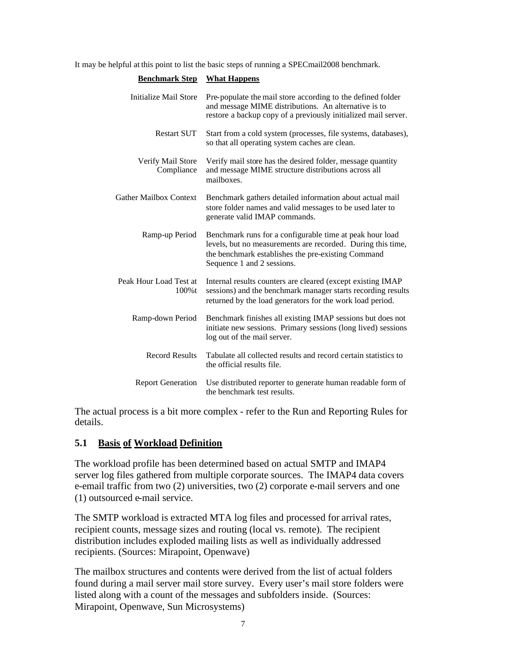It may be helpful at this point to list the basic steps of running a SPECmail2008 benchmark.

| <b>Benchmark Step</b>           | <b>What Happens</b>                                                                                                                                                                                         |
|---------------------------------|-------------------------------------------------------------------------------------------------------------------------------------------------------------------------------------------------------------|
| Initialize Mail Store           | Pre-populate the mail store according to the defined folder<br>and message MIME distributions. An alternative is to<br>restore a backup copy of a previously initialized mail server.                       |
| <b>Restart SUT</b>              | Start from a cold system (processes, file systems, databases),<br>so that all operating system caches are clean.                                                                                            |
| Verify Mail Store<br>Compliance | Verify mail store has the desired folder, message quantity<br>and message MIME structure distributions across all<br>mailboxes.                                                                             |
| <b>Gather Mailbox Context</b>   | Benchmark gathers detailed information about actual mail<br>store folder names and valid messages to be used later to<br>generate valid IMAP commands.                                                      |
| Ramp-up Period                  | Benchmark runs for a configurable time at peak hour load<br>levels, but no measurements are recorded. During this time,<br>the benchmark establishes the pre-existing Command<br>Sequence 1 and 2 sessions. |
| Peak Hour Load Test at<br>100%t | Internal results counters are cleared (except existing IMAP<br>sessions) and the benchmark manager starts recording results<br>returned by the load generators for the work load period.                    |
| Ramp-down Period                | Benchmark finishes all existing IMAP sessions but does not<br>initiate new sessions. Primary sessions (long lived) sessions<br>log out of the mail server.                                                  |
| <b>Record Results</b>           | Tabulate all collected results and record certain statistics to<br>the official results file.                                                                                                               |
| <b>Report Generation</b>        | Use distributed reporter to generate human readable form of<br>the benchmark test results.                                                                                                                  |

The actual process is a bit more complex - refer to the Run and Reporting Rules for details.

## **5.1 Basis of Workload Definition**

The workload profile has been determined based on actual SMTP and IMAP4 server log files gathered from multiple corporate sources. The IMAP4 data covers e-email traffic from two (2) universities, two (2) corporate e-mail servers and one (1) outsourced e-mail service.

The SMTP workload is extracted MTA log files and processed for arrival rates, recipient counts, message sizes and routing (local vs. remote). The recipient distribution includes exploded mailing lists as well as individually addressed recipients. (Sources: Mirapoint, Openwave)

The mailbox structures and contents were derived from the list of actual folders found during a mail server mail store survey. Every user's mail store folders were listed along with a count of the messages and subfolders inside. (Sources: Mirapoint, Openwave, Sun Microsystems)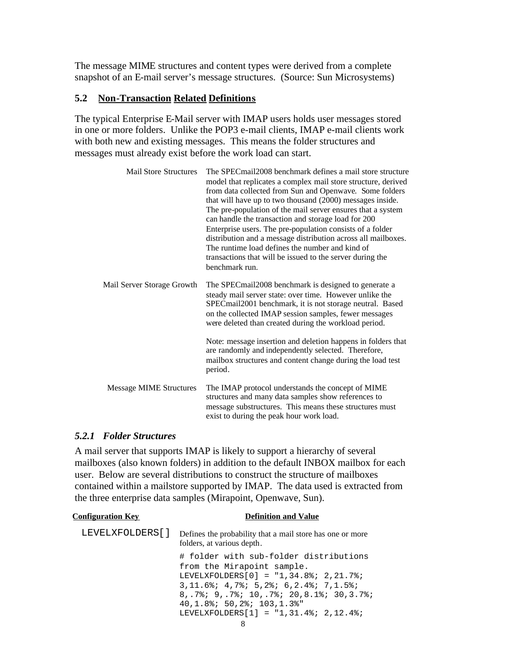The message MIME structures and content types were derived from a complete snapshot of an E-mail server's message structures. (Source: Sun Microsystems)

#### **5.2 Non-Transaction Related Definitions**

The typical Enterprise E-Mail server with IMAP users holds user messages stored in one or more folders. Unlike the POP3 e-mail clients, IMAP e-mail clients work with both new and existing messages. This means the folder structures and messages must already exist before the work load can start.

| <b>Mail Store Structures</b>   | The SPEC mail 2008 benchmark defines a mail store structure<br>model that replicates a complex mail store structure, derived<br>from data collected from Sun and Openwave. Some folders<br>that will have up to two thousand (2000) messages inside.<br>The pre-population of the mail server ensures that a system<br>can handle the transaction and storage load for 200<br>Enterprise users. The pre-population consists of a folder<br>distribution and a message distribution across all mailboxes.<br>The runtime load defines the number and kind of<br>transactions that will be issued to the server during the<br>benchmark run. |
|--------------------------------|--------------------------------------------------------------------------------------------------------------------------------------------------------------------------------------------------------------------------------------------------------------------------------------------------------------------------------------------------------------------------------------------------------------------------------------------------------------------------------------------------------------------------------------------------------------------------------------------------------------------------------------------|
| Mail Server Storage Growth     | The SPEC mail 2008 benchmark is designed to generate a<br>steady mail server state: over time. However unlike the<br>SPECmail2001 benchmark, it is not storage neutral. Based<br>on the collected IMAP session samples, fewer messages<br>were deleted than created during the workload period.                                                                                                                                                                                                                                                                                                                                            |
|                                | Note: message insertion and deletion happens in folders that<br>are randomly and independently selected. Therefore,<br>mailbox structures and content change during the load test<br>period.                                                                                                                                                                                                                                                                                                                                                                                                                                               |
| <b>Message MIME Structures</b> | The IMAP protocol understands the concept of MIME<br>structures and many data samples show references to<br>message substructures. This means these structures must<br>exist to during the peak hour work load.                                                                                                                                                                                                                                                                                                                                                                                                                            |

#### *5.2.1 Folder Structures*

A mail server that supports IMAP is likely to support a hierarchy of several mailboxes (also known folders) in addition to the default INBOX mailbox for each user. Below are several distributions to construct the structure of mailboxes contained within a mailstore supported by IMAP. The data used is extracted from the three enterprise data samples (Mirapoint, Openwave, Sun).

#### **Configuration Key Definition and Value**

| LEVELXFOLDERS[] | Defines the probability that a mail store has one or more<br>folders, at various depth. |
|-----------------|-----------------------------------------------------------------------------------------|
|                 | # folder with sub-folder distributions<br>from the Mirapoint sample.                    |
|                 | LEVELXFOLDERS[0] = $"1,34.8$ ; 2,21.7%;                                                 |
|                 | $3, 11.6$ $8; 4, 7$ $8; 5, 2$ $8; 6, 2.4$ $8; 7, 1.5$ $8; 7, 6$                         |
|                 | $8, .7$ ; $9, .7$ ; $10, .7$ ; $20, 8.1$ ; $30, 3.7$ ;                                  |
|                 | $40.1.8$ ; 50.2%; 103.1.3%"                                                             |
|                 | LEVELXFOLDERS $[1] = "1, 31.4$ ; 2,12.4%;                                               |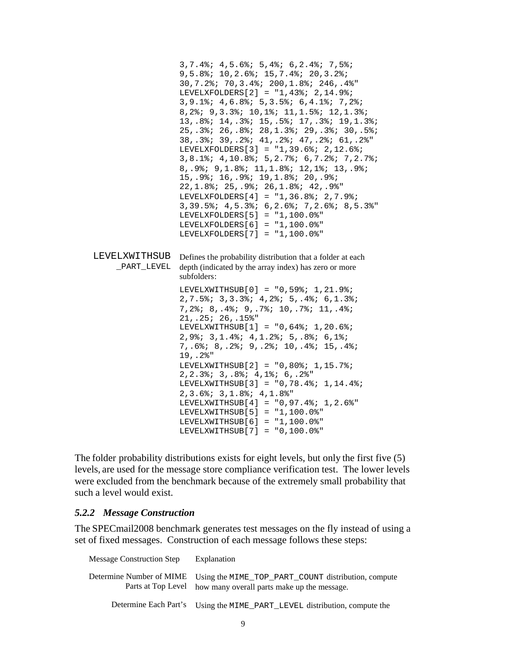```
3,7.4%; 4,5.6%; 5,4%; 6,2.4%; 7,5%;
                 9,5.8%; 10,2.6%; 15,7.4%; 20,3.2%;
                 30,7.2%; 70,3.4%; 200,1.8%; 246,.4%"
                 LEVELXFOLDERS[2] = "1,43%; 2,14.9%;
                 3,9.1%; 4,6.8%; 5,3.5%; 6,4.1%; 7,2%;
                 8,2%; 9,3.3%; 10,1%; 11,1.5%; 12,1.3%;
                 13,.8%; 14,.3%; 15,.5%; 17,.3%; 19,1.3%;
                 25,.3%; 26,.8%; 28,1.3%; 29,.3%; 30,.5%;
                 38,.3%; 39,.2%; 41,.2%; 47,.2%; 61,.2%"
                 LEVELXFOLDERS[3] = "1,39.6%; 2,12.6%;
                 3,8.1%; 4,10.8%; 5,2.7%; 6,7.2%; 7,2.7%;
                 8,.9%; 9,1.8%; 11,1.8%; 12,1%; 13,.9%;
                 15,.9%; 16,.9%; 19,1.8%; 20,.9%;
                 22,1.8%; 25,.9%; 26,1.8%; 42,.9%"
                 LEVELXFOLDERS[4] = "1,36.8%; 2,7.9%;
                  3,39.5%; 4,5.3%; 6,2.6%; 7,2.6%; 8,5.3%"
                 LEVELXFOLDERS[5] = "1,100.0%"
                 LEVELXFOLDERS[6] = "1,100.0%"
                 LEVELXFOLDERS[7] = "1,100.0%"
LEVELXWITHSUB
Defines the probability distribution that a folder at each
    _PART_LEVEL
depth (indicated by the array index) has zero or more
                 subfolders:
                 LEVELXWITHSUB[0] = "0,59%; 1,21.9%;
                 2,7.5%; 3,3.3%; 4,2%; 5,.4%; 6,1.3%;
                 7,2%; 8,.4%; 9,.7%; 10,.7%; 11,.4%;
                 21,.25; 26,.15%"
                 LEVELXWITHSUB[1] = "0,64; 1,20.6%;
                  2,9%; 3,1.4%; 4,1.2%; 5,.8%; 6,1%;
                 7,.6%; 8,.2%; 9,.2%; 10,.4%; 15,.4%;
                 19,.2%"
                 LEVELXWITHSUB[2] = "0,80%; 1,15.7%;
                 2,2.3%; 3,.8%; 4,1%; 6,.2%"
                 LEVELXWITHSUB[3] = "0,78.4%; 1,14.4%;
                 2,3.6%; 3,1.8%; 4,1.8%"
                 LEVELXWITHSUB[4] = "0,97.4%; 1,2.6%"
                 LEVELXWITHSUB[5] = "1,100.0%"
                 LEVELXWITHSUB[6] = "1,100.0%"LEVELXWITHSUB[7] = "0,100.0%"
```
The folder probability distributions exists for eight levels, but only the first five (5) levels, are used for the message store compliance verification test. The lower levels were excluded from the benchmark because of the extremely small probability that such a level would exist.

#### *5.2.2 Message Construction*

The SPECmail2008 benchmark generates test messages on the fly instead of using a set of fixed messages. Construction of each message follows these steps:

| <b>Message Construction Step</b> | Explanation                                                                                                           |
|----------------------------------|-----------------------------------------------------------------------------------------------------------------------|
| Determine Number of MIME         | Using the MIME_TOP_PART_COUNT distribution, compute<br>Parts at Top Level how many overall parts make up the message. |
|                                  | Determine Each Part's Using the MIME_PART_LEVEL distribution, compute the                                             |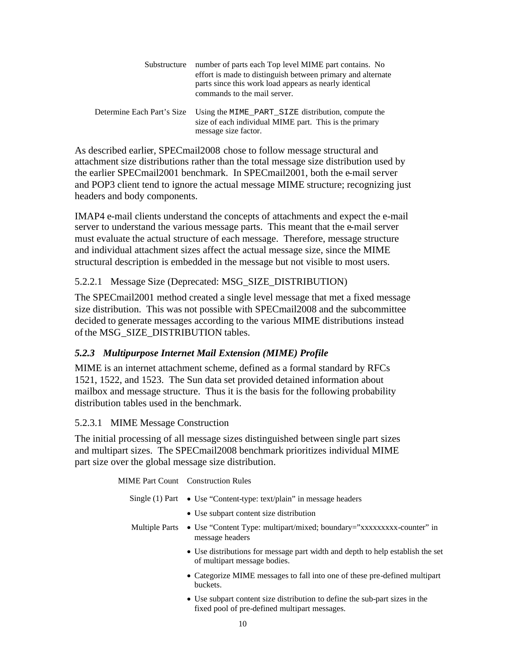| Substructure               | number of parts each Top level MIME part contains. No<br>effort is made to distinguish between primary and alternate<br>parts since this work load appears as nearly identical<br>commands to the mail server. |
|----------------------------|----------------------------------------------------------------------------------------------------------------------------------------------------------------------------------------------------------------|
| Determine Each Part's Size | Using the MIME_PART_SIZE distribution, compute the<br>size of each individual MIME part. This is the primary<br>message size factor.                                                                           |

As described earlier, SPECmail2008 chose to follow message structural and attachment size distributions rather than the total message size distribution used by the earlier SPECmail2001 benchmark. In SPECmail2001, both the e-mail server and POP3 client tend to ignore the actual message MIME structure; recognizing just headers and body components.

IMAP4 e-mail clients understand the concepts of attachments and expect the e-mail server to understand the various message parts. This meant that the e-mail server must evaluate the actual structure of each message. Therefore, message structure and individual attachment sizes affect the actual message size, since the MIME structural description is embedded in the message but not visible to most users.

## 5.2.2.1 Message Size (Deprecated: MSG\_SIZE\_DISTRIBUTION)

The SPECmail2001 method created a single level message that met a fixed message size distribution. This was not possible with SPECmail2008 and the subcommittee decided to generate messages according to the various MIME distributions instead of the MSG\_SIZE\_DISTRIBUTION tables.

## *5.2.3 Multipurpose Internet Mail Extension (MIME) Profile*

MIME is an internet attachment scheme, defined as a formal standard by RFCs 1521, 1522, and 1523. The Sun data set provided detained information about mailbox and message structure. Thus it is the basis for the following probability distribution tables used in the benchmark.

## 5.2.3.1 MIME Message Construction

The initial processing of all message sizes distinguished between single part sizes and multipart sizes. The SPECmail2008 benchmark prioritizes individual MIME part size over the global message size distribution.

MIME Part Count Construction Rules

|                       | Single (1) Part $\bullet$ Use "Content-type: text/plain" in message headers                                    |
|-----------------------|----------------------------------------------------------------------------------------------------------------|
|                       | • Use subpart content size distribution                                                                        |
| <b>Multiple Parts</b> | • Use "Content Type: multipart/mixed; boundary="xxxxxxxxx-counter" in<br>message headers                       |
|                       | • Use distributions for message part width and depth to help establish the set<br>of multipart message bodies. |
|                       | • Categorize MIME messages to fall into one of these pre-defined multipart<br>buckets.                         |
|                       | • Use subpart content size distribution to define the sub-part sizes in the                                    |

fixed pool of pre-defined multipart messages.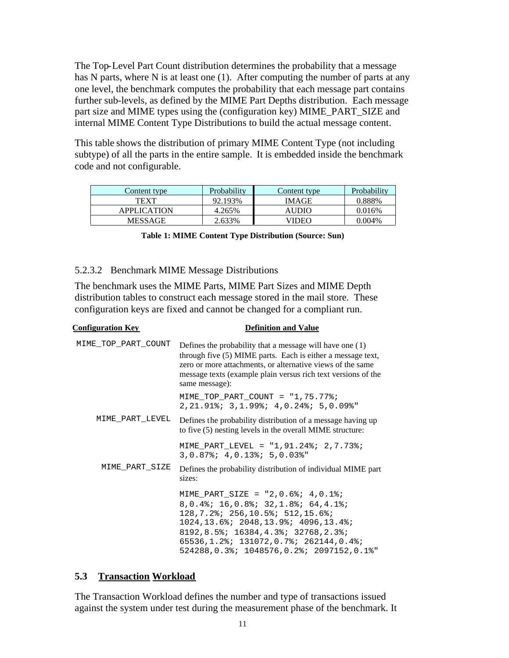The Top-Level Part Count distribution determines the probability that a message has N parts, where N is at least one (1). After computing the number of parts at any one level, the benchmark computes the probability that each message part contains further sub-levels, as defined by the MIME Part Depths distribution. Each message part size and MIME types using the (configuration key) MIME\_PART\_SIZE and internal MIME Content Type Distributions to build the actual message content.

This table shows the distribution of primary MIME Content Type (not including subtype) of all the parts in the entire sample. It is embedded inside the benchmark code and not configurable.

| Probability<br>Content type |         | Content type | Probability |
|-----------------------------|---------|--------------|-------------|
| TEXT                        | 92.193% | <b>IMAGE</b> | .888%       |
| <b>APPLICATION</b>          | 4.265%  | AUDIO        | 0.016%      |
| MESSAGE                     | 2.633%  | VIDEO        | 9.004%      |

|  |  |  |  |  |  | Table 1: MIME Content Type Distribution (Source: Sun) |  |  |
|--|--|--|--|--|--|-------------------------------------------------------|--|--|
|--|--|--|--|--|--|-------------------------------------------------------|--|--|

#### 5.2.3.2 Benchmark MIME Message Distributions

The benchmark uses the MIME Parts, MIME Part Sizes and MIME Depth distribution tables to construct each message stored in the mail store. These configuration keys are fixed and cannot be changed for a compliant run.

| <b>Configuration Key</b> | <b>Definition and Value</b>                                                                                                                                                                                                                                                                                         |
|--------------------------|---------------------------------------------------------------------------------------------------------------------------------------------------------------------------------------------------------------------------------------------------------------------------------------------------------------------|
| MIME TOP PART COUNT      | Defines the probability that a message will have one $(1)$<br>through five (5) MIME parts. Each is either a message text,<br>zero or more attachments, or alternative views of the same<br>message texts (example plain versus rich text versions of the<br>same message):                                          |
|                          | MIME_TOP_PART_COUNT = "1,75.77%;<br>$2, 21.91$ ; $3, 1.99$ ; $4, 0.24$ ; $5, 0.09$ ;                                                                                                                                                                                                                                |
| MIME PART LEVEL          | Defines the probability distribution of a message having up<br>to five (5) nesting levels in the overall MIME structure:                                                                                                                                                                                            |
|                          | MIME_PART_LEVEL = "1,91.24%; 2,7.73%;<br>$3,0.87$ %; $4,0.13$ %; $5,0.03$ %"                                                                                                                                                                                                                                        |
| MIME_PART_SIZE           | Defines the probability distribution of individual MIME part<br>sizes:                                                                                                                                                                                                                                              |
|                          | MIME_PART_SIZE = $"2,0.6$ ; 4,0.1%;<br>8, 0.4%; 16, 0.8%; 32, 1.8%; 64, 4.1%;<br>$128, 7.2$ $2: 256, 10.5$ $3: 512, 15.6$ $3: 128$<br>$1024, 13.6$ ; $2048, 13.9$ ; $4096, 13.4$ ;<br>8192, 8.5%; 16384, 4.3%; 32768, 2.3%;<br>65536,1.2%; 131072,0.7%; 262144,0.4%;<br>524288, 0.3%; 1048576, 0.2%; 2097152, 0.1%" |

#### **5.3 Transaction Workload**

The Transaction Workload defines the number and type of transactions issued against the system under test during the measurement phase of the benchmark. It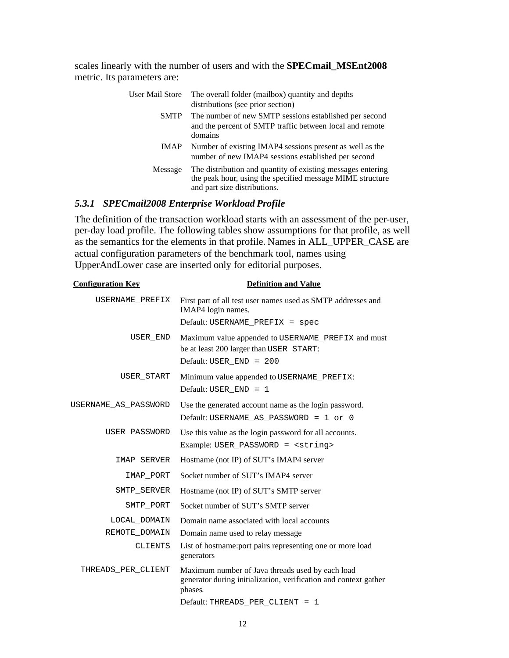scales linearly with the number of users and with the **SPECmail\_MSEnt2008** metric. Its parameters are:

| User Mail Store | The overall folder (mailbox) quantity and depths<br>distributions (see prior section)                                                                    |
|-----------------|----------------------------------------------------------------------------------------------------------------------------------------------------------|
| <b>SMTP</b>     | The number of new SMTP sessions established per second<br>and the percent of SMTP traffic between local and remote<br>domains                            |
|                 | IMAP Number of existing IMAP4 sessions present as well as the<br>number of new IMAP4 sessions established per second                                     |
| Message         | The distribution and quantity of existing messages entering<br>the peak hour, using the specified message MIME structure<br>and part size distributions. |

## *5.3.1 SPECmail2008 Enterprise Workload Profile*

The definition of the transaction workload starts with an assessment of the per-user, per-day load profile. The following tables show assumptions for that profile, as well as the semantics for the elements in that profile. Names in ALL\_UPPER\_CASE are actual configuration parameters of the benchmark tool, names using UpperAndLower case are inserted only for editorial purposes.

| <b>Configuration Key</b> | <b>Definition and Value</b>                                                                                                     |  |  |
|--------------------------|---------------------------------------------------------------------------------------------------------------------------------|--|--|
| USERNAME PREFIX          | First part of all test user names used as SMTP addresses and<br>IMAP4 login names.                                              |  |  |
|                          | Default: USERNAME PREFIX = spec                                                                                                 |  |  |
| USER END                 | Maximum value appended to USERNAME_PREFIX and must<br>be at least 200 larger than USER_START:<br>Default: USER_END = 200        |  |  |
| USER START               | Minimum value appended to USERNAME_PREFIX:                                                                                      |  |  |
|                          | Default: USER $END = 1$                                                                                                         |  |  |
| USERNAME_AS_PASSWORD     | Use the generated account name as the login password.                                                                           |  |  |
|                          | Default: USERNAME_AS_PASSWORD = 1 or 0                                                                                          |  |  |
| USER PASSWORD            | Use this value as the login password for all accounts.                                                                          |  |  |
|                          | Example: USER_PASSWORD = <string></string>                                                                                      |  |  |
| IMAP SERVER              | Hostname (not IP) of SUT's IMAP4 server                                                                                         |  |  |
| IMAP PORT                | Socket number of SUT's IMAP4 server                                                                                             |  |  |
| SMTP SERVER              | Hostname (not IP) of SUT's SMTP server                                                                                          |  |  |
| SMTP PORT                | Socket number of SUT's SMTP server                                                                                              |  |  |
| LOCAL DOMAIN             | Domain name associated with local accounts                                                                                      |  |  |
| REMOTE DOMAIN            | Domain name used to relay message                                                                                               |  |  |
| <b>CLIENTS</b>           | List of hostname: port pairs representing one or more load<br>generators                                                        |  |  |
| THREADS PER CLIENT       | Maximum number of Java threads used by each load<br>generator during initialization, verification and context gather<br>phases. |  |  |
|                          | Default: THREADS_PER_CLIENT = 1                                                                                                 |  |  |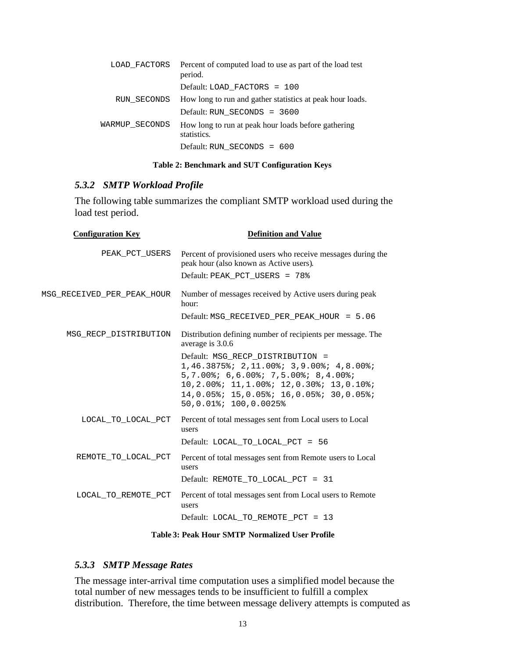|                | LOAD FACTORS Percent of computed load to use as part of the load test<br>period. |  |  |  |
|----------------|----------------------------------------------------------------------------------|--|--|--|
|                | Default: LOAD FACTORS = 100                                                      |  |  |  |
|                | RUN_SECONDS How long to run and gather statistics at peak hour loads.            |  |  |  |
|                | Default: RUN SECONDS = 3600                                                      |  |  |  |
| WARMUP SECONDS | How long to run at peak hour loads before gathering<br>statistics.               |  |  |  |
|                | Default: RUN SECONDS = 600                                                       |  |  |  |

#### **Table 2: Benchmark and SUT Configuration Keys**

## *5.3.2 SMTP Workload Profile*

The following table summarizes the compliant SMTP workload used during the load test period.

| <b>Definition and Value</b>                                                                                                                                                                                                       |  |  |  |
|-----------------------------------------------------------------------------------------------------------------------------------------------------------------------------------------------------------------------------------|--|--|--|
| Percent of provisioned users who receive messages during the<br>peak hour (also known as Active users).                                                                                                                           |  |  |  |
| Default: PEAK_PCT_USERS = 78%                                                                                                                                                                                                     |  |  |  |
| Number of messages received by Active users during peak<br>hour:                                                                                                                                                                  |  |  |  |
| Default: MSG_RECEIVED_PER_PEAK_HOUR = 5.06                                                                                                                                                                                        |  |  |  |
| Distribution defining number of recipients per message. The<br>average is 3.0.6                                                                                                                                                   |  |  |  |
| Default: MSG RECP DISTRIBUTION =<br>1,46.3875%; 2,11.00%; 3,9.00%; 4,8.00%;<br>5,7.00%; 6,6.00%; 7,5.00%; 8,4.00%;<br>10,2.00%; 11,1.00%; 12,0.30%; 13,0.10%;<br>14,0.05%; 15,0.05%; 16,0.05%; 30,0.05%;<br>50,0.01%; 100,0.0025% |  |  |  |
| Percent of total messages sent from Local users to Local<br>users<br>Default: LOCAL_TO_LOCAL_PCT = 56                                                                                                                             |  |  |  |
| Percent of total messages sent from Remote users to Local<br>users<br>Default: REMOTE_TO_LOCAL_PCT = 31                                                                                                                           |  |  |  |
| Percent of total messages sent from Local users to Remote<br>users<br>Default: LOCAL TO REMOTE PCT = 13                                                                                                                           |  |  |  |
|                                                                                                                                                                                                                                   |  |  |  |

**Table 3: Peak Hour SMTP Normalized User Profile**

#### *5.3.3 SMTP Message Rates*

The message inter-arrival time computation uses a simplified model because the total number of new messages tends to be insufficient to fulfill a complex distribution. Therefore, the time between message delivery attempts is computed as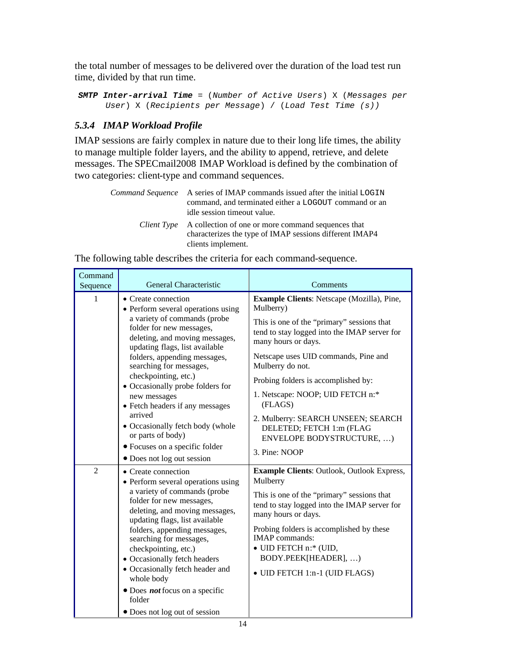the total number of messages to be delivered over the duration of the load test run time, divided by that run time.

```
SMTP Inter-arrival Time = (Number of Active Users) X (Messages per
     User) X (Recipients per Message) / (Load Test Time (s))
```
## *5.3.4 IMAP Workload Profile*

IMAP sessions are fairly complex in nature due to their long life times, the ability to manage multiple folder layers, and the ability to append, retrieve, and delete messages. The SPECmail2008 IMAP Workload is defined by the combination of two categories: client-type and command sequences.

| <i>Command Sequence</i> A series of IMAP commands issued after the initial LOGIN<br>command, and terminated either a LOGOUT command or an<br>idle session timeout value. |
|--------------------------------------------------------------------------------------------------------------------------------------------------------------------------|
| <i>Client Type</i> A collection of one or more command sequences that<br>characterizes the type of IMAP sessions different IMAP4<br>clients implement.                   |

Command Sequence General Characteristic Comments 1 Create connection • Perform several operations using a variety of commands (probe folder for new messages, deleting, and moving messages, updating flags, list available folders, appending messages, searching for messages, checkpointing, etc.) • Occasionally probe folders for new messages • Fetch headers if any messages arrived • Occasionally fetch body (whole or parts of body) Focuses on a specific folder • Does not log out session **Example Clients**: Netscape (Mozilla), Pine, Mulberry) This is one of the "primary" sessions that tend to stay logged into the IMAP server for many hours or days. Netscape uses UID commands, Pine and Mulberry do not. Probing folders is accomplished by: 1. Netscape: NOOP; UID FETCH n:\* (FLAGS) 2. Mulberry: SEARCH UNSEEN; SEARCH DELETED; FETCH 1:m (FLAG ENVELOPE BODYSTRUCTURE, …) 3. Pine: NOOP 2 Create connection • Perform several operations using a variety of commands (probe folder for new messages, deleting, and moving messages, updating flags, list available folders, appending messages, searching for messages, checkpointing, etc.) Occasionally fetch headers Occasionally fetch header and whole body Does *not* focus on a specific folder Does not log out of session **Example Clients**: Outlook, Outlook Express, Mulberry This is one of the "primary" sessions that tend to stay logged into the IMAP server for many hours or days. Probing folders is accomplished by these IMAP commands: UID FETCH n:\* (UID, BODY.PEEK[HEADER], …) UID FETCH 1:n-1 (UID FLAGS)

The following table describes the criteria for each command-sequence.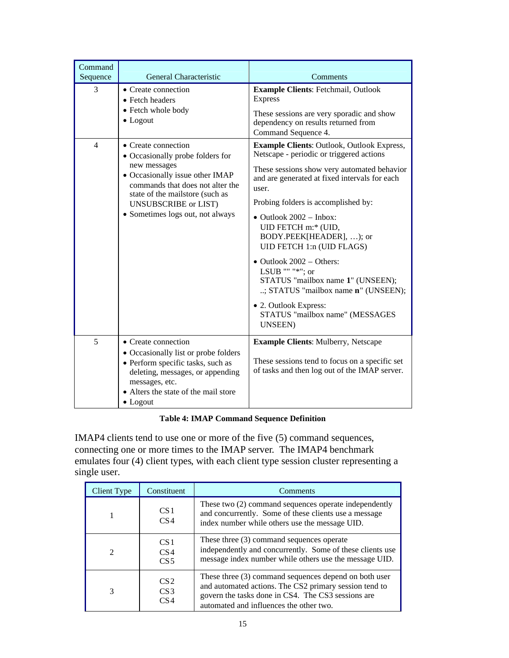| Command<br>Sequence | General Characteristic                                                                                                                                                                                                                               | Comments                                                                                                                                                                                                                                                                                                                                                                                                                                                                                                                                                              |
|---------------------|------------------------------------------------------------------------------------------------------------------------------------------------------------------------------------------------------------------------------------------------------|-----------------------------------------------------------------------------------------------------------------------------------------------------------------------------------------------------------------------------------------------------------------------------------------------------------------------------------------------------------------------------------------------------------------------------------------------------------------------------------------------------------------------------------------------------------------------|
| 3                   | • Create connection<br>• Fetch headers<br>• Fetch whole body<br>$\bullet$ Logout                                                                                                                                                                     | Example Clients: Fetchmail, Outlook<br>Express<br>These sessions are very sporadic and show<br>dependency on results returned from<br>Command Sequence 4.                                                                                                                                                                                                                                                                                                                                                                                                             |
| $\overline{4}$      | • Create connection<br>• Occasionally probe folders for<br>new messages<br>• Occasionally issue other IMAP<br>commands that does not alter the<br>state of the mailstore (such as<br><b>UNSUBSCRIBE or LIST)</b><br>• Sometimes logs out, not always | Example Clients: Outlook, Outlook Express,<br>Netscape - periodic or triggered actions<br>These sessions show very automated behavior<br>and are generated at fixed intervals for each<br>user.<br>Probing folders is accomplished by:<br>$\bullet$ Outlook 2002 - Inbox:<br>UID FETCH m:* (UID,<br>BODY.PEEK[HEADER], ); or<br>UID FETCH 1:n (UID FLAGS)<br>• Outlook $2002 -$ Others:<br>LSUB "" "*"; or<br>STATUS "mailbox name 1" (UNSEEN);<br>; STATUS "mailbox name n" (UNSEEN);<br>• 2. Outlook Express:<br>STATUS "mailbox name" (MESSAGES<br><b>UNSEEN</b> ) |
| 5                   | • Create connection<br>• Occasionally list or probe folders<br>• Perform specific tasks, such as<br>deleting, messages, or appending<br>messages, etc.<br>• Alters the state of the mail store<br>$\bullet$ Logout                                   | <b>Example Clients: Mulberry, Netscape</b><br>These sessions tend to focus on a specific set<br>of tasks and then log out of the IMAP server.                                                                                                                                                                                                                                                                                                                                                                                                                         |

## **Table 4: IMAP Command Sequence Definition**

IMAP4 clients tend to use one or more of the five (5) command sequences, connecting one or more times to the IMAP server. The IMAP4 benchmark emulates four (4) client types, with each client type session cluster representing a single user.

| Client Type                 | Constituent                                           | Comments                                                                                                                                                                                                         |
|-----------------------------|-------------------------------------------------------|------------------------------------------------------------------------------------------------------------------------------------------------------------------------------------------------------------------|
|                             | CS <sub>1</sub><br>CS <sub>4</sub>                    | These two (2) command sequences operate independently<br>and concurrently. Some of these clients use a message<br>index number while others use the message UID.                                                 |
| $\mathcal{D}_{\mathcal{L}}$ | CS <sub>1</sub><br>CS <sub>4</sub><br>CS <sub>5</sub> | These three $(3)$ command sequences operate<br>independently and concurrently. Some of these clients use<br>message index number while others use the message UID.                                               |
| 3                           | CS2<br>CS <sub>3</sub><br>CS <sub>4</sub>             | These three (3) command sequences depend on both user<br>and automated actions. The CS2 primary session tend to<br>govern the tasks done in CS4. The CS3 sessions are<br>automated and influences the other two. |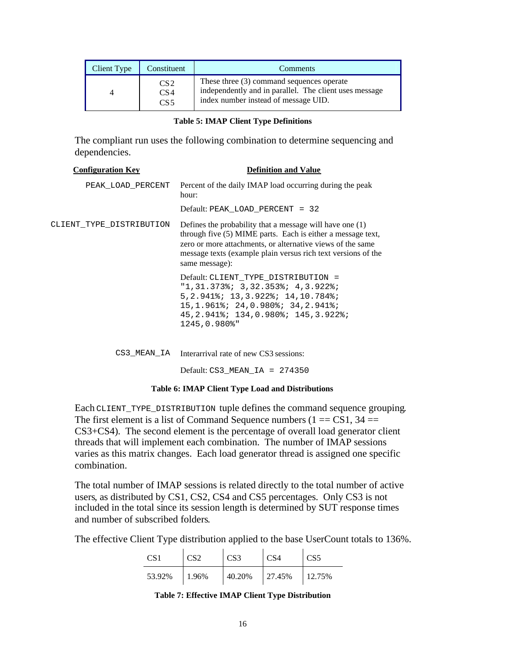| Client Type | Constituent                                           | Comments                                                                                                                                      |  |
|-------------|-------------------------------------------------------|-----------------------------------------------------------------------------------------------------------------------------------------------|--|
|             | CS <sub>2</sub><br>CS <sub>4</sub><br>CS <sub>5</sub> | These three $(3)$ command sequences operate<br>independently and in parallel. The client uses message<br>index number instead of message UID. |  |

|  |  |  |  | <b>Table 5: IMAP Client Type Definitions</b> |
|--|--|--|--|----------------------------------------------|
|--|--|--|--|----------------------------------------------|

The compliant run uses the following combination to determine sequencing and dependencies.

| <b>Configuration Key</b> | <b>Definition and Value</b>                                                                                                                                                                                                                                              |
|--------------------------|--------------------------------------------------------------------------------------------------------------------------------------------------------------------------------------------------------------------------------------------------------------------------|
| PEAK LOAD PERCENT        | Percent of the daily IMAP load occurring during the peak<br>hour:                                                                                                                                                                                                        |
|                          | Default: PEAK LOAD PERCENT = 32                                                                                                                                                                                                                                          |
| CLIENT TYPE DISTRIBUTION | Defines the probability that a message will have one (1)<br>through five (5) MIME parts. Each is either a message text,<br>zero or more attachments, or alternative views of the same<br>message texts (example plain versus rich text versions of the<br>same message): |
|                          | Default: CLIENT_TYPE_DISTRIBUTION =<br>$"1, 31.373$ ; 3,32.353; 4,3.922;<br>5, 2.941%; 13, 3.922%; 14, 10.784%;<br>$15, 1.961$ ; $24, 0.980$ ; $34, 2.941$ ;<br>45, 2.941%; 134, 0.980%; 145, 3.922%;<br>1245,0.980%"                                                    |
|                          | CS3_MEAN_IA Interarrival rate of new CS3 sessions:                                                                                                                                                                                                                       |
|                          | Default: $CS3$ MEAN IA = $274350$                                                                                                                                                                                                                                        |

#### **Table 6: IMAP Client Type Load and Distributions**

Each CLIENT\_TYPE\_DISTRIBUTION tuple defines the command sequence grouping. The first element is a list of Command Sequence numbers  $(1 = CSI, 34 =$ CS3+CS4). The second element is the percentage of overall load generator client threads that will implement each combination. The number of IMAP sessions varies as this matrix changes. Each load generator thread is assigned one specific combination.

The total number of IMAP sessions is related directly to the total number of active users, as distributed by CS1, CS2, CS4 and CS5 percentages. Only CS3 is not included in the total since its session length is determined by SUT response times and number of subscribed folders.

The effective Client Type distribution applied to the base UserCount totals to 136%.

| CS <sub>1</sub> | CS <sub>2</sub> | CS <sub>3</sub> | CS <sub>4</sub> | CS <sub>5</sub> |
|-----------------|-----------------|-----------------|-----------------|-----------------|
| 53.92%          | 1.96%           | 40.20%          | 27.45%          | 12.75%          |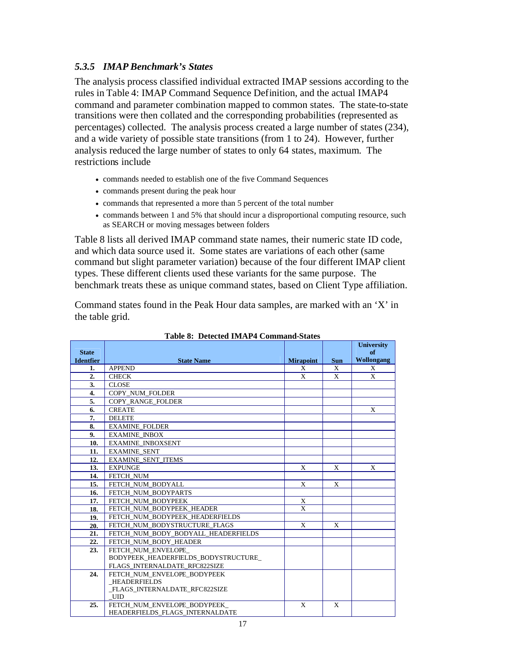## *5.3.5 IMAP Benchmark's States*

The analysis process classified individual extracted IMAP sessions according to the rules in Table 4: IMAP Command Sequence Definition, and the actual IMAP4 command and parameter combination mapped to common states. The state-to-state transitions were then collated and the corresponding probabilities (represented as percentages) collected. The analysis process created a large number of states (234), and a wide variety of possible state transitions (from 1 to 24). However, further analysis reduced the large number of states to only 64 states, maximum. The restrictions include

- commands needed to establish one of the five Command Sequences
- commands present during the peak hour
- commands that represented a more than 5 percent of the total number
- commands between 1 and 5% that should incur a disproportional computing resource, such as SEARCH or moving messages between folders

Table 8 lists all derived IMAP command state names, their numeric state ID code, and which data source used it. Some states are variations of each other (same command but slight parameter variation) because of the four different IMAP client types. These different clients used these variants for the same purpose. The benchmark treats these as unique command states, based on Client Type affiliation.

Command states found in the Peak Hour data samples, are marked with an 'X' in the table grid.

|                  | арк ө.   рексека 1917 г. – Сонинана-Эшкэ  |                         |              | <b>University</b> |
|------------------|-------------------------------------------|-------------------------|--------------|-------------------|
| <b>State</b>     |                                           |                         |              | of                |
| <b>Identfier</b> | <b>State Name</b>                         | <b>Mirapoint</b>        | <b>Sun</b>   | <b>Wollongang</b> |
| 1.               | <b>APPEND</b>                             | X                       | X            | X                 |
| 2.               | <b>CHECK</b>                              | $\mathbf{x}$            | X            | X                 |
| 3.               | <b>CLOSE</b>                              |                         |              |                   |
| 4.               | COPY NUM FOLDER                           |                         |              |                   |
| 5.               | <b>COPY RANGE FOLDER</b>                  |                         |              |                   |
| 6.               | <b>CREATE</b>                             |                         |              | X                 |
| 7.               | <b>DELETE</b>                             |                         |              |                   |
| 8.               | <b>EXAMINE_FOLDER</b>                     |                         |              |                   |
| 9.               | <b>EXAMINE INBOX</b>                      |                         |              |                   |
| 10.              | <b>EXAMINE INBOXSENT</b>                  |                         |              |                   |
| 11.              | <b>EXAMINE SENT</b>                       |                         |              |                   |
| 12.              | <b>EXAMINE SENT ITEMS</b>                 |                         |              |                   |
| 13.              | <b>EXPUNGE</b>                            | X                       | X            | X                 |
| 14.              | FETCH NUM                                 |                         |              |                   |
| 15.              | FETCH NUM BODYALL                         | X                       | X            |                   |
| 16.              | FETCH NUM BODYPARTS                       |                         |              |                   |
| 17.              | FETCH NUM BODYPEEK                        | X                       |              |                   |
| 18.              | FETCH_NUM_BODYPEEK_HEADER                 | $\overline{\mathbf{x}}$ |              |                   |
| 19.              | FETCH NUM BODYPEEK HEADERFIELDS           |                         |              |                   |
| 20.              | FETCH NUM BODYSTRUCTURE FLAGS             | $\mathbf{x}$            | X            |                   |
| 21.              | FETCH NUM BODY BODYALL HEADERFIELDS       |                         |              |                   |
| 22.              | FETCH NUM BODY HEADER                     |                         |              |                   |
| 23.              | FETCH NUM ENVELOPE                        |                         |              |                   |
|                  | BODYPEEK HEADERFIELDS BODYSTRUCTURE       |                         |              |                   |
|                  | FLAGS INTERNALDATE RFC822SIZE             |                         |              |                   |
| 24.              | FETCH NUM ENVELOPE BODYPEEK               |                         |              |                   |
|                  | <b>HEADERFIELDS</b>                       |                         |              |                   |
|                  | FLAGS_INTERNALDATE_RFC822SIZE             |                         |              |                   |
| 25.              | <b>UID</b><br>FETCH NUM ENVELOPE BODYPEEK | $\mathbf{X}$            | $\mathbf{x}$ |                   |
|                  | HEADERFIELDS FLAGS INTERNALDATE           |                         |              |                   |

| Table 8: Detected IMAP4 Command-States |  |
|----------------------------------------|--|
|----------------------------------------|--|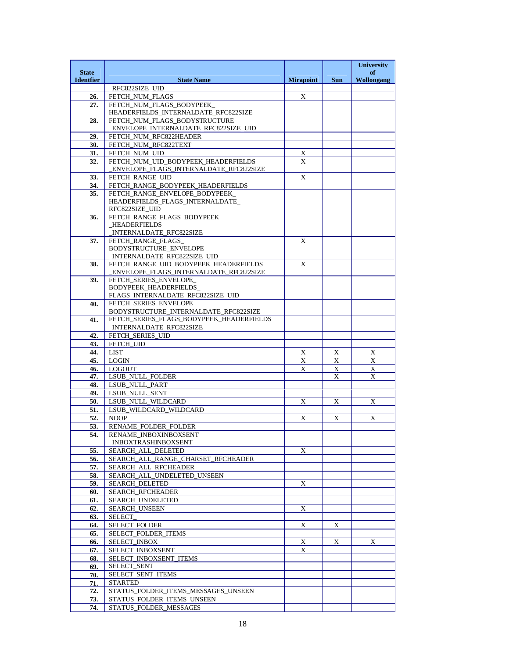|                  |                                                                                   |                  |            | <b>University</b> |
|------------------|-----------------------------------------------------------------------------------|------------------|------------|-------------------|
| <b>State</b>     |                                                                                   |                  |            | of                |
| <b>Identfier</b> | <b>State Name</b><br>RFC822SIZE UID                                               | <b>Mirapoint</b> | <b>Sun</b> | <b>Wollongang</b> |
| 26.              | FETCH_NUM_FLAGS                                                                   | X                |            |                   |
| 27.              | FETCH NUM FLAGS BODYPEEK                                                          |                  |            |                   |
|                  | HEADERFIELDS_INTERNALDATE_RFC822SIZE                                              |                  |            |                   |
| 28.              | FETCH_NUM_FLAGS_BODYSTRUCTURE                                                     |                  |            |                   |
|                  | ENVELOPE_INTERNALDATE_RFC822SIZE_UID                                              |                  |            |                   |
| 29.              | FETCH_NUM_RFC822HEADER                                                            |                  |            |                   |
| 30.              | FETCH_NUM_RFC822TEXT                                                              |                  |            |                   |
| 31.              | FETCH_NUM_UID                                                                     | X                |            |                   |
| 32.              | FETCH NUM UID BODYPEEK HEADERFIELDS                                               | X                |            |                   |
| 33.              | ENVELOPE_FLAGS_INTERNALDATE_RFC822SIZE                                            | X                |            |                   |
| 34.              | FETCH_RANGE_UID<br>FETCH_RANGE_BODYPEEK_HEADERFIELDS                              |                  |            |                   |
| 35.              | FETCH RANGE ENVELOPE BODYPEEK                                                     |                  |            |                   |
|                  | HEADERFIELDS_FLAGS_INTERNALDATE_                                                  |                  |            |                   |
|                  | RFC822SIZE_UID                                                                    |                  |            |                   |
| 36.              | FETCH_RANGE_FLAGS_BODYPEEK                                                        |                  |            |                   |
|                  | <b>HEADERFIELDS</b>                                                               |                  |            |                   |
|                  | INTERNALDATE_RFC822SIZE                                                           |                  |            |                   |
| 37.              | FETCH RANGE FLAGS                                                                 | X                |            |                   |
|                  | <b>BODYSTRUCTURE ENVELOPE</b><br>INTERNALDATE_RFC822SIZE_UID_                     |                  |            |                   |
| 38.              | FETCH RANGE UID BODYPEEK HEADERFIELDS                                             | X                |            |                   |
|                  | ENVELOPE_FLAGS_INTERNALDATE_RFC822SIZE                                            |                  |            |                   |
| 39.              | FETCH_SERIES_ENVELOPE_                                                            |                  |            |                   |
|                  | <b>BODYPEEK_HEADERFIELDS_</b>                                                     |                  |            |                   |
|                  | FLAGS_INTERNALDATE_RFC822SIZE_UID                                                 |                  |            |                   |
| 40.              | FETCH_SERIES_ENVELOPE_                                                            |                  |            |                   |
|                  | BODYSTRUCTURE_INTERNALDATE_RFC822SIZE<br>FETCH_SERIES_FLAGS_BODYPEEK_HEADERFIELDS |                  |            |                   |
| 41.              | INTERNALDATE_RFC822SIZE                                                           |                  |            |                   |
| 42.              | FETCH_SERIES_UID                                                                  |                  |            |                   |
| 43.              | FETCH_UID                                                                         |                  |            |                   |
| 44.              | <b>LIST</b>                                                                       | X                | X          | $\mathbf X$       |
| 45.              | LOGIN                                                                             | X                | X          | X                 |
| 46.              | LOGOUT                                                                            | X                | X          | X                 |
| 47.              | LSUB_NULL_FOLDER                                                                  |                  | X          | X                 |
| 48.              | LSUB_NULL_PART                                                                    |                  |            |                   |
| 49.              | LSUB_NULL_SENT                                                                    |                  |            |                   |
| 50.              | LSUB_NULL_WILDCARD                                                                | X                | X          | X                 |
| 51.<br>52.       | LSUB_WILDCARD_WILDCARD                                                            | X                |            | X                 |
| 53.              | <b>NOOP</b><br>RENAME FOLDER FOLDER                                               |                  | X          |                   |
| 54.              | RENAME_INBOXINBOXSENT                                                             |                  |            |                   |
|                  | <b>INBOXTRASHINBOXSENT</b>                                                        |                  |            |                   |
| 55.              | SEARCH ALL DELETED                                                                | X                |            |                   |
| 56.              | SEARCH ALL RANGE CHARSET RFCHEADER                                                |                  |            |                   |
| 57.              | SEARCH_ALL_RFCHEADER                                                              |                  |            |                   |
| 58.              | SEARCH_ALL_UNDELETED_UNSEEN                                                       |                  |            |                   |
| 59.              | <b>SEARCH_DELETED</b>                                                             | X                |            |                   |
| 60.              | <b>SEARCH RFCHEADER</b>                                                           |                  |            |                   |
| 61.              | <b>SEARCH UNDELETED</b>                                                           |                  |            |                   |
| 62.              | <b>SEARCH UNSEEN</b>                                                              | X                |            |                   |
| 63.              | <b>SELECT</b>                                                                     |                  |            |                   |
| 64.<br>65.       | SELECT_FOLDER<br>SELECT_FOLDER_ITEMS                                              | X                | X          |                   |
| 66.              | SELECT_INBOX                                                                      | X                | X          | X                 |
| 67.              | SELECT_INBOXSENT                                                                  | X                |            |                   |
| 68.              | SELECT INBOXSENT ITEMS                                                            |                  |            |                   |
| 69.              | SELECT_SENT                                                                       |                  |            |                   |
| 70.              | SELECT_SENT_ITEMS                                                                 |                  |            |                   |
| 71.              | <b>STARTED</b>                                                                    |                  |            |                   |
| 72.              | STATUS_FOLDER_ITEMS_MESSAGES_UNSEEN                                               |                  |            |                   |
| 73.              | STATUS FOLDER ITEMS UNSEEN                                                        |                  |            |                   |
| 74.              | STATUS_FOLDER_MESSAGES                                                            |                  |            |                   |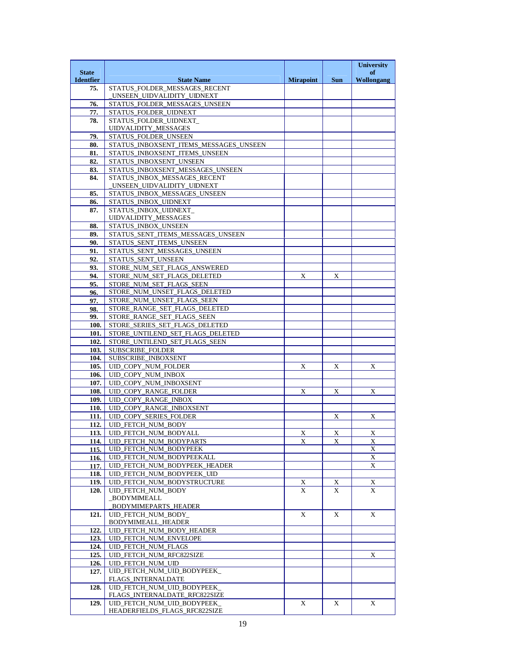|                                  |                                                             |                  |             | <b>University</b>       |
|----------------------------------|-------------------------------------------------------------|------------------|-------------|-------------------------|
| <b>State</b><br><b>Identfier</b> | <b>State Name</b>                                           | <b>Mirapoint</b> | <b>Sun</b>  | of<br><b>Wollongang</b> |
| 75.                              | STATUS_FOLDER_MESSAGES_RECENT                               |                  |             |                         |
|                                  | _UNSEEN_UIDVALIDITY_UIDNEXT                                 |                  |             |                         |
| 76.                              | STATUS_FOLDER_MESSAGES_UNSEEN                               |                  |             |                         |
| 77.                              | STATUS_FOLDER_UIDNEXT                                       |                  |             |                         |
| 78.                              | STATUS_FOLDER_UIDNEXT_<br><b>UIDVALIDITY_MESSAGES</b>       |                  |             |                         |
| 79.                              | STATUS_FOLDER_UNSEEN                                        |                  |             |                         |
| 80.                              | STATUS_INBOXSENT_ITEMS_MESSAGES_UNSEEN                      |                  |             |                         |
| 81.                              | STATUS INBOXSENT ITEMS UNSEEN                               |                  |             |                         |
| 82.                              | STATUS_INBOXSENT_UNSEEN                                     |                  |             |                         |
| 83.                              | STATUS_INBOXSENT_MESSAGES_UNSEEN                            |                  |             |                         |
| 84.                              | STATUS INBOX MESSAGES RECENT                                |                  |             |                         |
| 85.                              | _UNSEEN_UIDVALIDITY_UIDNEXT<br>STATUS_INBOX_MESSAGES_UNSEEN |                  |             |                         |
| 86.                              | STATUS_INBOX_UIDNEXT                                        |                  |             |                         |
| 87.                              | STATUS INBOX UIDNEXT                                        |                  |             |                         |
|                                  | <b>UIDVALIDITY_MESSAGES</b>                                 |                  |             |                         |
| 88.                              | STATUS_INBOX_UNSEEN                                         |                  |             |                         |
| 89.                              | STATUS_SENT_ITEMS_MESSAGES_UNSEEN                           |                  |             |                         |
| 90.<br>91.                       | STATUS_SENT_ITEMS_UNSEEN<br>STATUS_SENT_MESSAGES_UNSEEN     |                  |             |                         |
| 92.                              | STATUS SENT UNSEEN                                          |                  |             |                         |
| 93.                              | STORE_NUM_SET_FLAGS_ANSWERED                                |                  |             |                         |
| 94.                              | STORE_NUM_SET_FLAGS_DELETED                                 | X                | X           |                         |
| 95.                              | STORE NUM SET FLAGS SEEN                                    |                  |             |                         |
| 96.                              | STORE_NUM_UNSET_FLAGS_DELETED                               |                  |             |                         |
| 97.                              | STORE_NUM_UNSET_FLAGS_SEEN                                  |                  |             |                         |
| 98.<br>99.                       | STORE_RANGE_SET_FLAGS_DELETED<br>STORE_RANGE_SET_FLAGS_SEEN |                  |             |                         |
| 100.                             | STORE_SERIES_SET_FLAGS_DELETED                              |                  |             |                         |
| 101.                             | STORE_UNTILEND_SET_FLAGS_DELETED                            |                  |             |                         |
| 102.                             | STORE_UNTILEND_SET_FLAGS_SEEN                               |                  |             |                         |
| 103.                             | SUBSCRIBE_FOLDER                                            |                  |             |                         |
| 104.                             | SUBSCRIBE_INBOXSENT                                         |                  |             |                         |
| 105.                             | UID_COPY_NUM_FOLDER                                         | X                | X           | X                       |
| 106.                             | UID_COPY_NUM_INBOX                                          |                  |             |                         |
| 107.<br>108.                     | UID_COPY_NUM_INBOXSENT<br>UID_COPY_RANGE_FOLDER             | X                | X           | X                       |
| 109.                             | UID_COPY_RANGE_INBOX                                        |                  |             |                         |
| 110.                             | UID_COPY_RANGE_INBOXSENT                                    |                  |             |                         |
| 111.1                            | <b>UID_COPY_SERIES_FOLDER</b>                               |                  | X           | X                       |
| 112.                             | UID_FETCH_NUM_BODY                                          |                  |             |                         |
|                                  | 113. UID_FETCH_NUM_BODYALL                                  | $\mathbf X$      | $X_{\cdot}$ | $\mathbf X$             |
| 114.                             | UID_FETCH_NUM_BODYPARTS<br>UID_FETCH_NUM_BODYPEEK           | X                | X           | X<br>X                  |
| 115.<br>116.                     | UID_FETCH_NUM_BODYPEEKALL                                   |                  |             | $\mathbf X$             |
| 117.                             | UID_FETCH_NUM_BODYPEEK_HEADER                               |                  |             | X                       |
| 118.                             | UID_FETCH_NUM_BODYPEEK_UID                                  |                  |             |                         |
| 119.                             | UID_FETCH_NUM_BODYSTRUCTURE                                 | X                | X           | X                       |
| 120.                             | <b>UID FETCH NUM BODY</b>                                   | X                | X           | X                       |
|                                  | BODYMIMEALL                                                 |                  |             |                         |
| 121.                             | BODYMIMEPARTS_HEADER<br>UID FETCH NUM BODY                  | X                | X           | X                       |
|                                  | BODYMIMEALL_HEADER                                          |                  |             |                         |
| 122.                             | UID_FETCH_NUM_BODY_HEADER                                   |                  |             |                         |
| 123.                             | <b>UID_FETCH_NUM_ENVELOPE</b>                               |                  |             |                         |
| 124.                             | UID_FETCH_NUM_FLAGS                                         |                  |             |                         |
| 125.                             | UID_FETCH_NUM_RFC822SIZE                                    |                  |             | X                       |
| 126.<br>127.                     | UID FETCH NUM UID<br>UID_FETCH_NUM_UID_BODYPEEK_            |                  |             |                         |
|                                  | FLAGS_INTERNALDATE                                          |                  |             |                         |
| 128.                             | UID_FETCH_NUM_UID_BODYPEEK_                                 |                  |             |                         |
|                                  | FLAGS_INTERNALDATE_RFC822SIZE                               |                  |             |                         |
| 129.                             | UID FETCH NUM UID BODYPEEK                                  | X                | X           | X                       |
|                                  | HEADERFIELDS_FLAGS_RFC822SIZE                               |                  |             |                         |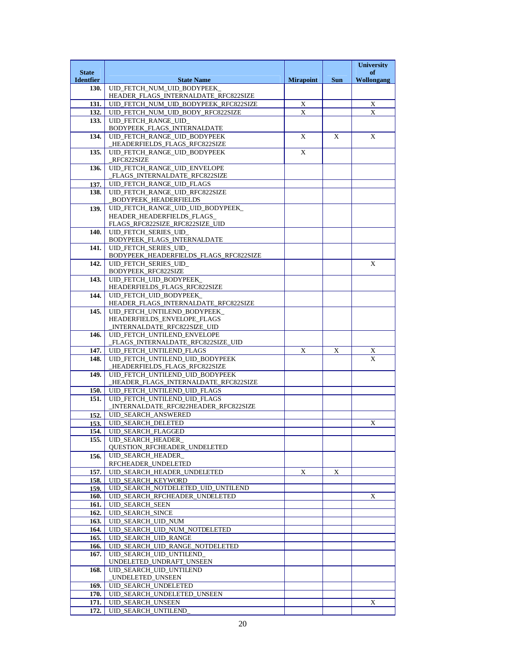|                                  |                                                                            |                  |            | <b>University</b>       |
|----------------------------------|----------------------------------------------------------------------------|------------------|------------|-------------------------|
| <b>State</b><br><b>Identfier</b> | <b>State Name</b>                                                          | <b>Mirapoint</b> | <b>Sun</b> | of<br><b>Wollongang</b> |
| 130.                             | UID_FETCH_NUM_UID_BODYPEEK_                                                |                  |            |                         |
|                                  | HEADER_FLAGS_INTERNALDATE_RFC822SIZE                                       |                  |            |                         |
| 131.<br>132.                     | UID_FETCH_NUM_UID_BODYPEEK_RFC822SIZE<br>UID_FETCH_NUM_UID_BODY_RFC822SIZE | $\mathbf X$<br>X |            | $\mathbf X$<br>X        |
| 133.                             | UID FETCH RANGE UID                                                        |                  |            |                         |
|                                  | BODYPEEK_FLAGS_INTERNALDATE                                                |                  |            |                         |
| 134.                             | UID_FETCH_RANGE_UID_BODYPEEK                                               | X                | X          | X                       |
| 135.                             | HEADERFIELDS_FLAGS_RFC822SIZE<br>UID_FETCH_RANGE_UID_BODYPEEK              | X                |            |                         |
|                                  | RFC822SIZE                                                                 |                  |            |                         |
| 136.                             | UID_FETCH_RANGE_UID_ENVELOPE                                               |                  |            |                         |
| 137.                             | _FLAGS_INTERNALDATE_RFC822SIZE<br>UID_FETCH_RANGE_UID_FLAGS                |                  |            |                         |
| 138.                             | UID FETCH RANGE UID RFC822SIZE                                             |                  |            |                         |
|                                  | <b>BODYPEEK_HEADERFIELDS</b>                                               |                  |            |                         |
| 139.                             | UID_FETCH_RANGE_UID_UID_BODYPEEK_                                          |                  |            |                         |
|                                  | HEADER_HEADERFIELDS_FLAGS_<br>FLAGS_RFC822SIZE_RFC822SIZE_UID              |                  |            |                         |
| 140.                             | UID FETCH SERIES UID                                                       |                  |            |                         |
|                                  | BODYPEEK_FLAGS_INTERNALDATE                                                |                  |            |                         |
| 141.                             | UID_FETCH_SERIES_UID_<br>BODYPEEK_HEADERFIELDS_FLAGS_RFC822SIZE            |                  |            |                         |
| 142.                             | UID_FETCH_SERIES_UID_                                                      |                  |            | X                       |
|                                  | BODYPEEK_RFC822SIZE                                                        |                  |            |                         |
| 143.                             | UID FETCH UID BODYPEEK                                                     |                  |            |                         |
| 144.                             | HEADERFIELDS_FLAGS_RFC822SIZE<br>UID_FETCH_UID_BODYPEEK_                   |                  |            |                         |
|                                  | HEADER_FLAGS_INTERNALDATE_RFC822SIZE                                       |                  |            |                         |
| 145.                             | UID FETCH UNTILEND BODYPEEK                                                |                  |            |                         |
|                                  | HEADERFIELDS_ENVELOPE_FLAGS                                                |                  |            |                         |
| 146.                             | INTERNALDATE_RFC822SIZE_UID<br>UID_FETCH_UNTILEND_ENVELOPE                 |                  |            |                         |
|                                  | _FLAGS_INTERNALDATE_RFC822SIZE_UID                                         |                  |            |                         |
| 147.                             | UID_FETCH_UNTILEND_FLAGS                                                   | $\mathbf X$      | X          | X                       |
| 148.                             | UID FETCH UNTILEND UID BODYPEEK<br>HEADERFIELDS_FLAGS_RFC822SIZE           |                  |            | X                       |
| 149.                             | UID_FETCH_UNTILEND_UID_BODYPEEK                                            |                  |            |                         |
|                                  | _HEADER_FLAGS_INTERNALDATE_RFC822SIZE                                      |                  |            |                         |
| 150.                             | UID_FETCH_UNTILEND_UID_FLAGS<br>UID FETCH UNTILEND UID FLAGS               |                  |            |                         |
| 151.                             | INTERNALDATE_RFC822HEADER_RFC822SIZE                                       |                  |            |                         |
| 152.                             | <b>UID SEARCH ANSWERED</b>                                                 |                  |            |                         |
| 153.                             | <b>UID_SEARCH_DELETED</b>                                                  |                  |            | X                       |
| 154.                             | <b>UID SEARCH FLAGGED</b><br><b>UID SEARCH HEADER</b>                      |                  |            |                         |
| 155.                             | QUESTION_RFCHEADER_UNDELETED                                               |                  |            |                         |
| 156.                             | UID_SEARCH_HEADER_                                                         |                  |            |                         |
|                                  | RFCHEADER_UNDELETED                                                        |                  |            |                         |
| 157.                             | UID_SEARCH_HEADER_UNDELETED<br><b>UID SEARCH KEYWORD</b>                   | X                | X          |                         |
| 158.<br>159.                     | UID_SEARCH_NOTDELETED_UID_UNTILEND                                         |                  |            |                         |
| 160.                             | UID_SEARCH_RFCHEADER_UNDELETED                                             |                  |            | X                       |
| 161.                             | <b>UID SEARCH SEEN</b>                                                     |                  |            |                         |
| 162.                             | <b>UID SEARCH SINCE</b>                                                    |                  |            |                         |
| 163.<br>164.                     | UID SEARCH UID NUM<br>UID_SEARCH_UID_NUM_NOTDELETED                        |                  |            |                         |
| 165.                             | UID_SEARCH_UID_RANGE                                                       |                  |            |                         |
| 166.                             | UID_SEARCH_UID_RANGE_NOTDELETED                                            |                  |            |                         |
| 167.                             | UID SEARCH UID UNTILEND                                                    |                  |            |                         |
| 168.                             | UNDELETED_UNDRAFT_UNSEEN<br>UID_SEARCH_UID_UNTILEND                        |                  |            |                         |
|                                  | _UNDELETED_UNSEEN                                                          |                  |            |                         |
| 169.                             | UID_SEARCH_UNDELETED                                                       |                  |            |                         |
| 170.                             | UID_SEARCH_UNDELETED_UNSEEN                                                |                  |            |                         |
| 171.<br>172.                     | UID_SEARCH_UNSEEN<br><b>UID SEARCH UNTILEND</b>                            |                  |            | X                       |
|                                  |                                                                            |                  |            |                         |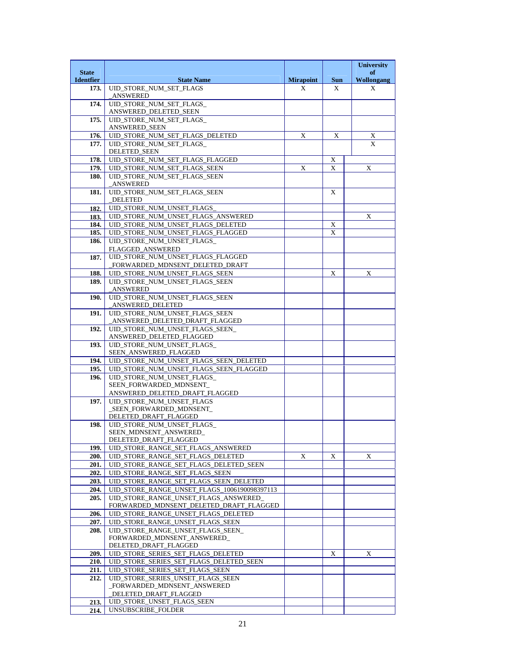|                                  |                                                                                  |                  |            | <b>University</b>                         |
|----------------------------------|----------------------------------------------------------------------------------|------------------|------------|-------------------------------------------|
| <b>State</b><br><b>Identfier</b> | <b>State Name</b>                                                                | <b>Mirapoint</b> | <b>Sun</b> | of<br><b>Wollongang</b>                   |
| 173.                             | UID_STORE_NUM_SET_FLAGS                                                          | X                | X          | X                                         |
|                                  | _ANSWERED                                                                        |                  |            |                                           |
| 174.                             | UID_STORE_NUM_SET_FLAGS_<br>ANSWERED_DELETED_SEEN                                |                  |            |                                           |
| 175.                             | UID STORE NUM SET FLAGS                                                          |                  |            |                                           |
|                                  | ANSWERED_SEEN                                                                    |                  |            |                                           |
| 176.                             | UID_STORE_NUM_SET_FLAGS_DELETED                                                  | $\mathbf X$      | X          | $\overline{X}$<br>$\overline{\mathbf{x}}$ |
| 177.                             | UID_STORE_NUM_SET_FLAGS_<br><b>DELETED_SEEN</b>                                  |                  |            |                                           |
| 178.                             | UID_STORE_NUM_SET_FLAGS_FLAGGED                                                  |                  | X          |                                           |
| 179.                             | UID STORE NUM SET FLAGS SEEN                                                     | X                | X          | X                                         |
| 180.                             | UID_STORE_NUM_SET_FLAGS_SEEN<br><b>ANSWERED</b>                                  |                  |            |                                           |
| 181.                             | UID_STORE_NUM_SET_FLAGS_SEEN                                                     |                  | X          |                                           |
|                                  | <b>DELETED</b>                                                                   |                  |            |                                           |
| 182.<br>183.                     | UID_STORE_NUM_UNSET_FLAGS<br>UID_STORE_NUM_UNSET_FLAGS_ANSWERED                  |                  |            | X                                         |
| 184.                             | UID_STORE_NUM_UNSET_FLAGS_DELETED                                                |                  | X          |                                           |
| 185.                             | UID_STORE_NUM_UNSET_FLAGS_FLAGGED                                                |                  | X          |                                           |
| 186.                             | UID STORE NUM UNSET FLAGS                                                        |                  |            |                                           |
|                                  | <b>FLAGGED ANSWERED</b><br>UID_STORE_NUM_UNSET_FLAGS_FLAGGED                     |                  |            |                                           |
| 187.                             | FORWARDED_MDNSENT_DELETED_DRAFT                                                  |                  |            |                                           |
| 188.                             | UID_STORE_NUM_UNSET_FLAGS_SEEN                                                   |                  | X          | X                                         |
| 189.                             | UID STORE NUM UNSET FLAGS SEEN                                                   |                  |            |                                           |
| 190.                             | ANSWERED<br>UID_STORE_NUM_UNSET_FLAGS_SEEN                                       |                  |            |                                           |
|                                  | ANSWERED_DELETED                                                                 |                  |            |                                           |
| 191.                             | UID_STORE_NUM_UNSET_FLAGS_SEEN                                                   |                  |            |                                           |
| 192.                             | ANSWERED_DELETED_DRAFT_FLAGGED_<br>UID STORE NUM UNSET FLAGS SEEN                |                  |            |                                           |
|                                  | ANSWERED_DELETED_FLAGGED                                                         |                  |            |                                           |
| 193.                             | UID_STORE_NUM_UNSET_FLAGS_                                                       |                  |            |                                           |
| 194.                             | SEEN_ANSWERED_FLAGGED<br>UID_STORE_NUM_UNSET_FLAGS_SEEN_DELETED                  |                  |            |                                           |
| 195.                             | UID_STORE_NUM_UNSET_FLAGS_SEEN_FLAGGED                                           |                  |            |                                           |
| 196.                             | UID STORE NUM UNSET FLAGS                                                        |                  |            |                                           |
|                                  | SEEN_FORWARDED_MDNSENT_                                                          |                  |            |                                           |
| 197.                             | ANSWERED_DELETED_DRAFT_FLAGGED<br>UID STORE NUM UNSET FLAGS                      |                  |            |                                           |
|                                  | _SEEN_FORWARDED_MDNSENT_                                                         |                  |            |                                           |
|                                  | DELETED_DRAFT_FLAGGED                                                            |                  |            |                                           |
| 198.                             | UID STORE NUM UNSET FLAGS<br>SEEN_MDNSENT_ANSWERED_                              |                  |            |                                           |
|                                  | DELETED_DRAFT_FLAGGED                                                            |                  |            |                                           |
| 199.                             | UID_STORE_RANGE_SET_FLAGS_ANSWERED                                               |                  |            |                                           |
| 200.                             | UID_STORE_RANGE_SET_FLAGS_DELETED                                                | X                | X          | X                                         |
| 201.<br>202.                     | UID_STORE_RANGE_SET_FLAGS_DELETED_SEEN<br>UID_STORE_RANGE_SET_FLAGS_SEEN         |                  |            |                                           |
| 203.                             | UID_STORE_RANGE_SET_FLAGS_SEEN_DELETED                                           |                  |            |                                           |
| 204.                             | UID_STORE_RANGE_UNSET_FLAGS_1006190098397113                                     |                  |            |                                           |
| 205.                             | UID_STORE_RANGE_UNSET_FLAGS_ANSWERED_<br>FORWARDED_MDNSENT_DELETED_DRAFT_FLAGGED |                  |            |                                           |
| 206.                             | UID_STORE_RANGE_UNSET_FLAGS_DELETED                                              |                  |            |                                           |
| 207.                             | UID_STORE_RANGE_UNSET_FLAGS_SEEN                                                 |                  |            |                                           |
| 208.                             | UID_STORE_RANGE_UNSET_FLAGS_SEEN_                                                |                  |            |                                           |
|                                  | FORWARDED_MDNSENT_ANSWERED_<br>DELETED_DRAFT_FLAGGED                             |                  |            |                                           |
| 209.                             | UID_STORE_SERIES_SET_FLAGS_DELETED                                               |                  | X          | X                                         |
| 210.                             | UID_STORE_SERIES_SET_FLAGS_DELETED_SEEN                                          |                  |            |                                           |
| 211.                             | UID_STORE_SERIES_SET_FLAGS_SEEN                                                  |                  |            |                                           |
| 212.                             | UID STORE SERIES UNSET FLAGS SEEN<br>_FORWARDED_MDNSENT_ANSWERED                 |                  |            |                                           |
|                                  | DELETED_DRAFT_FLAGGED                                                            |                  |            |                                           |
| 213.                             | UID_STORE_UNSET_FLAGS_SEEN                                                       |                  |            |                                           |
| 214.                             | UNSUBSCRIBE_FOLDER                                                               |                  |            |                                           |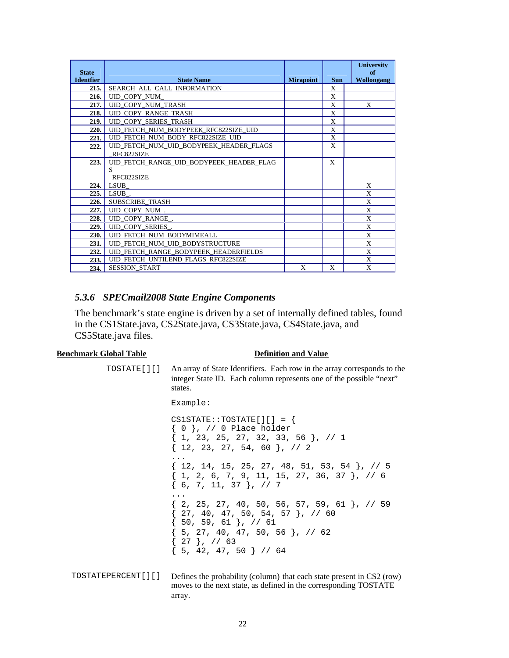| <b>State</b>     |                                          |                  |              | <b>University</b><br>of |
|------------------|------------------------------------------|------------------|--------------|-------------------------|
| <b>Identfier</b> | <b>State Name</b>                        | <b>Mirapoint</b> | <b>Sun</b>   | Wollongang              |
| 215.             | SEARCH ALL CALL INFORMATION              |                  | X            |                         |
| 216.             | UID_COPY_NUM                             |                  | X            |                         |
| 217.             | UID_COPY_NUM_TRASH                       |                  | X            | X                       |
| 218.             | UID COPY RANGE TRASH                     |                  | $\mathbf{X}$ |                         |
| 219.             | <b>UID COPY SERIES TRASH</b>             |                  | X            |                         |
| 220.             | UID FETCH NUM BODYPEEK RFC822SIZE UID    |                  | X            |                         |
| 221.             | UID FETCH NUM BODY RFC822SIZE UID        |                  | X            |                         |
| 222.             | UID FETCH NUM UID BODYPEEK HEADER FLAGS  |                  | X            |                         |
|                  | RFC822SIZE                               |                  |              |                         |
| 223.             | UID FETCH RANGE UID BODYPEEK HEADER FLAG |                  | X            |                         |
|                  | S                                        |                  |              |                         |
|                  | RFC822SIZE                               |                  |              |                         |
| 224.             | <b>LSUB</b>                              |                  |              | X                       |
| 225.             | LSUB.                                    |                  |              | X                       |
| 226.             | <b>SUBSCRIBE TRASH</b>                   |                  |              | X                       |
| 227.             | UID COPY NUM.                            |                  |              | X                       |
| 228.             | UID_COPY_RANGE_.                         |                  |              | X                       |
| 229.             | UID COPY SERIES.                         |                  |              | X                       |
| <b>230.</b>      | UID FETCH NUM BODYMIMEALL                |                  |              | X                       |
| 231.             | UID_FETCH_NUM_UID_BODYSTRUCTURE          |                  |              | X                       |
| 232.             | UID FETCH RANGE BODYPEEK HEADERFIELDS    |                  |              | X                       |
| 233.             | UID_FETCH_UNTILEND_FLAGS_RFC822SIZE      |                  |              | X                       |
| 234.             | SESSION_START                            | X                | X            | X                       |

#### *5.3.6 SPECmail2008 State Engine Components*

The benchmark's state engine is driven by a set of internally defined tables, found in the CS1State.java, CS2State.java, CS3State.java, CS4State.java, and CS5State.java files.

#### **Benchmark Global Table Definition and Value**

TOSTATE[][] An array of State Identifiers. Each row in the array corresponds to the integer State ID. Each column represents one of the possible "next" states.

#### Example:

 $CS1STATE::TOSTATE[]$  = { { 0 }, // 0 Place holder { 1, 23, 25, 27, 32, 33, 56 }, // 1 { 12, 23, 27, 54, 60 }, // 2 ... { 12, 14, 15, 25, 27, 48, 51, 53, 54 }, // 5 { 1, 2, 6, 7, 9, 11, 15, 27, 36, 37 }, // 6 { 6, 7, 11, 37 }, // 7 ...  $\{2, 25, 27, 40, 50, 56, 57, 59, 61\}, \frac{1}{59}$  $\{27, 40, 47, 50, 54, 57\}$ , // 60 { 50, 59, 61 }, // 61 { 5, 27, 40, 47, 50, 56 }, // 62  $\{27\}$ , // 63  ${5, 42, 47, 50}$  // 64

TOSTATEPERCENT[][] Defines the probability (column) that each state present in CS2 (row) moves to the next state, as defined in the corresponding TOSTATE array.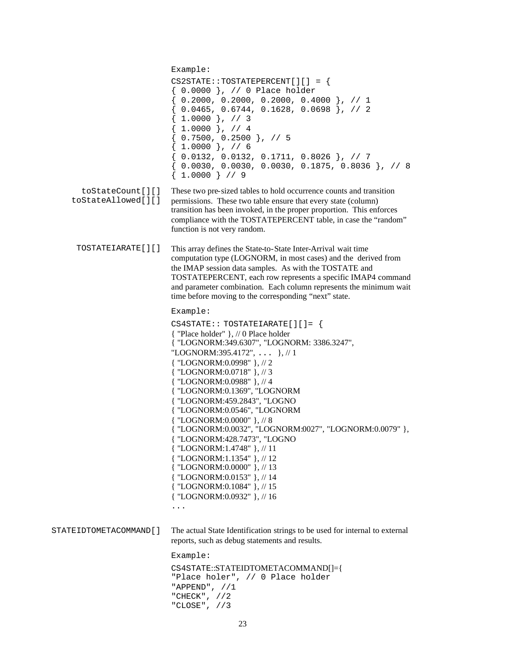| toStateCount[][]<br>toStateAllowed[][] | Example:<br>$CS2STATE:TOSTATEPERCENT[]$ = {<br>{ 0.0000 }, // 0 Place holder<br>$\{ 0.2000, 0.2000, 0.2000, 0.4000 \}$ , // 1<br>$\{ 0.0465, 0.6744, 0.1628, 0.0698 \}$ , // 2<br>$1.0000$ }, // 3<br>$\{1.0000\}$ , // 4<br>$\{ 0.7500, 0.2500 \}$ , // 5<br>$\{1.0000\}$ , // 6<br>$\{ 0.0132, 0.0132, 0.1711, 0.8026 \}$ , // 7<br>$\{ 0.0030, 0.0030, 0.0030, 0.1875, 0.8036 \}$ , // 8<br>$\{1.0000\}$ // 9<br>These two pre-sized tables to hold occurrence counts and transition<br>permissions. These two table ensure that every state (column)<br>transition has been invoked, in the proper proportion. This enforces                                                                    |
|----------------------------------------|-----------------------------------------------------------------------------------------------------------------------------------------------------------------------------------------------------------------------------------------------------------------------------------------------------------------------------------------------------------------------------------------------------------------------------------------------------------------------------------------------------------------------------------------------------------------------------------------------------------------------------------------------------------------------------------------------------|
|                                        | compliance with the TOSTATEPERCENT table, in case the "random"<br>function is not very random.                                                                                                                                                                                                                                                                                                                                                                                                                                                                                                                                                                                                      |
| TOSTATEIARATE[][]                      | This array defines the State-to-State Inter-Arrival wait time<br>computation type (LOGNORM, in most cases) and the derived from<br>the IMAP session data samples. As with the TOSTATE and<br>TOSTATEPERCENT, each row represents a specific IMAP4 command<br>and parameter combination. Each column represents the minimum wait<br>time before moving to the corresponding "next" state.                                                                                                                                                                                                                                                                                                            |
|                                        | Example:<br>$CS4STATE: TOSTATEIARATE[]$ $[ ] = \{$<br>{ "Place holder" }, // 0 Place holder<br>{ "LOGNORM:349.6307", "LOGNORM: 3386.3247",<br>"LOGNORM:395.4172",  }, // 1<br>{ "LOGNORM:0.0998" }, // 2<br>{ "LOGNORM:0.0718" }, // 3<br>{ "LOGNORM:0.0988" }, // 4<br>{ "LOGNORM:0.1369", "LOGNORM<br>{ "LOGNORM:459.2843", "LOGNO<br>{ "LOGNORM:0.0546", "LOGNORM<br>{ "LOGNORM:0.0000" }, // 8<br>{ "LOGNORM:0.0032", "LOGNORM:0027", "LOGNORM:0.0079" },<br>{ "LOGNORM:428.7473", "LOGNO<br>{ "LOGNORM:1.4748" }, // 11<br>{ "LOGNORM:1.1354" }, // 12<br>{ "LOGNORM:0.0000" }, // 13<br>{ "LOGNORM:0.0153" }, // 14<br>{ "LOGNORM:0.1084" }, // 15<br>{ "LOGNORM:0.0932" }, // 16<br>$\cdots$ |
| STATEIDTOMETACOMMAND[]                 | The actual State Identification strings to be used for internal to external<br>reports, such as debug statements and results.                                                                                                                                                                                                                                                                                                                                                                                                                                                                                                                                                                       |
|                                        | Example:<br>CS4STATE::STATEIDTOMETACOMMAND[]={<br>"Place holer", // 0 Place holder<br>"APPEND", $//1$<br>"CHECK", $//2$<br>"CLOSE", $//3$                                                                                                                                                                                                                                                                                                                                                                                                                                                                                                                                                           |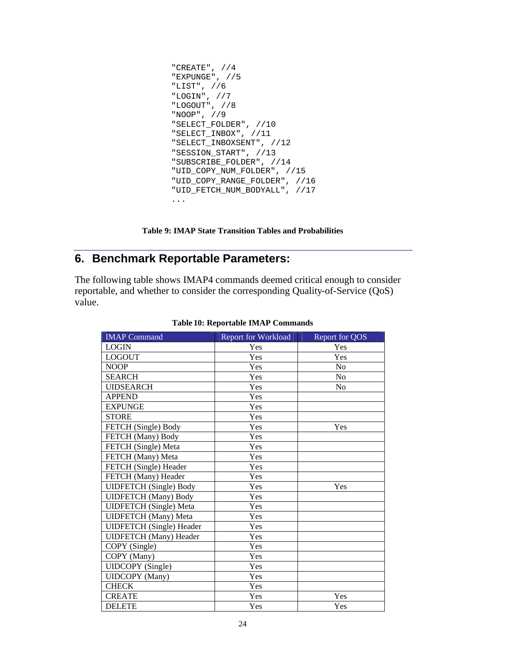```
"CREATE", //4
"EXPUNGE", //5
"LIST", //6
"LOGIN", //7
"LOGOUT", //8
"NOOP", //9
"SELECT_FOLDER", //10
"SELECT_INBOX", //11
"SELECT_INBOXSENT", //12
"SESSION_START", //13
"SUBSCRIBE_FOLDER", //14
"UID_COPY_NUM_FOLDER", //15
"UID_COPY_RANGE_FOLDER", //16
"UID_FETCH_NUM_BODYALL", //17
...
```
**Table 9: IMAP State Transition Tables and Probabilities**

## **6. Benchmark Reportable Parameters:**

The following table shows IMAP4 commands deemed critical enough to consider reportable, and whether to consider the corresponding Quality-of-Service (QoS) value.

| <b>IMAP</b> Command             | <b>Report for Workload</b> | Report for QOS |
|---------------------------------|----------------------------|----------------|
| <b>LOGIN</b>                    | Yes                        | Yes            |
| <b>LOGOUT</b>                   | Yes                        | Yes            |
| <b>NOOP</b>                     | Yes                        | N <sub>0</sub> |
| <b>SEARCH</b>                   | Yes                        | $\rm No$       |
| <b>UIDSEARCH</b>                | Yes                        | N <sub>0</sub> |
| <b>APPEND</b>                   | Yes                        |                |
| <b>EXPUNGE</b>                  | Yes                        |                |
| <b>STORE</b>                    | Yes                        |                |
| FETCH (Single) Body             | Yes                        | Yes            |
| FETCH (Many) Body               | Yes                        |                |
| FETCH (Single) Meta             | Yes                        |                |
| FETCH (Many) Meta               | Yes                        |                |
| FETCH (Single) Header           | Yes                        |                |
| FETCH (Many) Header             | Yes                        |                |
| <b>UIDFETCH</b> (Single) Body   | Yes                        | Yes            |
| <b>UIDFETCH</b> (Many) Body     | Yes                        |                |
| <b>UIDFETCH</b> (Single) Meta   | Yes                        |                |
| <b>UIDFETCH</b> (Many) Meta     | Yes                        |                |
| <b>UIDFETCH</b> (Single) Header | Yes                        |                |
| <b>UIDFETCH</b> (Many) Header   | Yes                        |                |
| COPY (Single)                   | Yes                        |                |
| COPY (Many)                     | Yes                        |                |
| <b>UIDCOPY</b> (Single)         | Yes                        |                |
| <b>UIDCOPY</b> (Many)           | Yes                        |                |
| <b>CHECK</b>                    | Yes                        |                |
| <b>CREATE</b>                   | Yes                        | Yes            |
| <b>DELETE</b>                   | Yes                        | Yes            |

#### **Table 10: Reportable IMAP Commands**